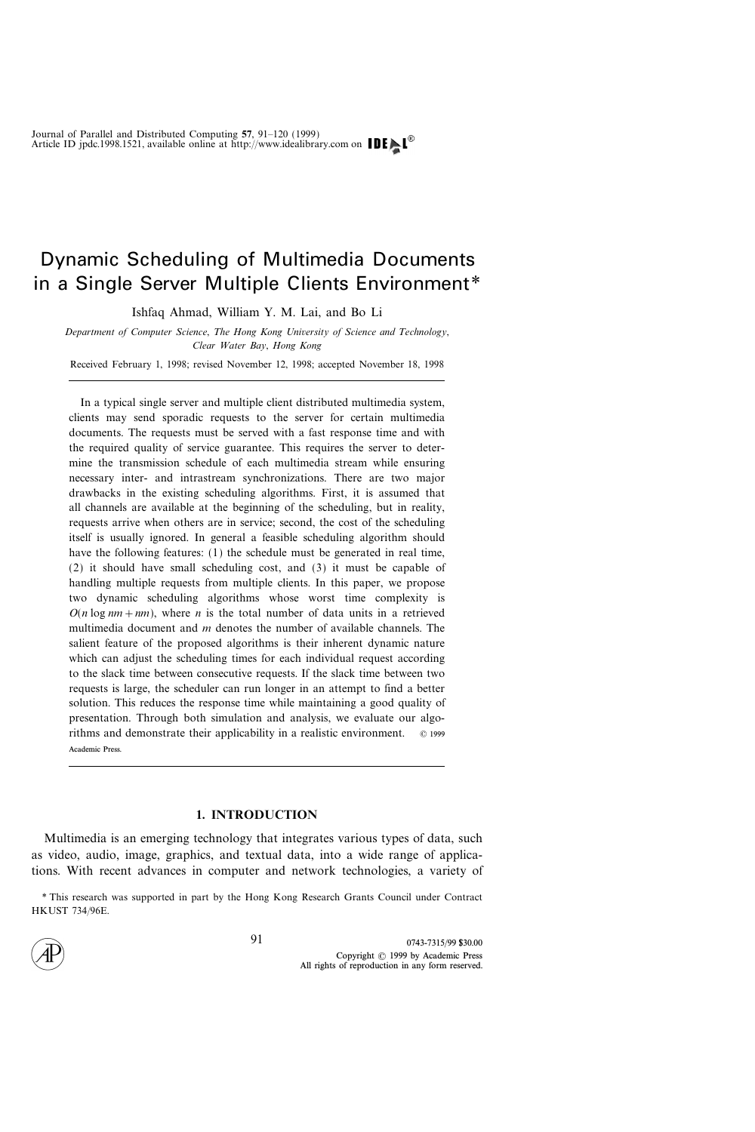# Dynamic Scheduling of Multimedia Documents in a Single Server Multiple Clients Environment\*

Ishfaq Ahmad, William Y. M. Lai, and Bo Li

Department of Computer Science, The Hong Kong University of Science and Technology, Clear Water Bay, Hong Kong

Received February 1, 1998; revised November 12, 1998; accepted November 18, 1998

In a typical single server and multiple client distributed multimedia system, clients may send sporadic requests to the server for certain multimedia documents. The requests must be served with a fast response time and with the required quality of service guarantee. This requires the server to determine the transmission schedule of each multimedia stream while ensuring necessary inter- and intrastream synchronizations. There are two major drawbacks in the existing scheduling algorithms. First, it is assumed that all channels are available at the beginning of the scheduling, but in reality, requests arrive when others are in service; second, the cost of the scheduling itself is usually ignored. In general a feasible scheduling algorithm should have the following features: (1) the schedule must be generated in real time, (2) it should have small scheduling cost, and (3) it must be capable of handling multiple requests from multiple clients. In this paper, we propose two dynamic scheduling algorithms whose worst time complexity is  $O(n \log nm + nm)$ , where *n* is the total number of data units in a retrieved multimedia document and  $m$  denotes the number of available channels. The salient feature of the proposed algorithms is their inherent dynamic nature which can adjust the scheduling times for each individual request according to the slack time between consecutive requests. If the slack time between two requests is large, the scheduler can run longer in an attempt to find a better solution. This reduces the response time while maintaining a good quality of presentation. Through both simulation and analysis, we evaluate our algorithms and demonstrate their applicability in a realistic environment.  $\circ$  1999 Academic Press.

#### 1. INTRODUCTION

Multimedia is an emerging technology that integrates various types of data, such as video, audio, image, graphics, and textual data, into a wide range of applications. With recent advances in computer and network technologies, a variety of

\* This research was supported in part by the Hong Kong Research Grants Council under Contract **HKUST 734/96E.** 

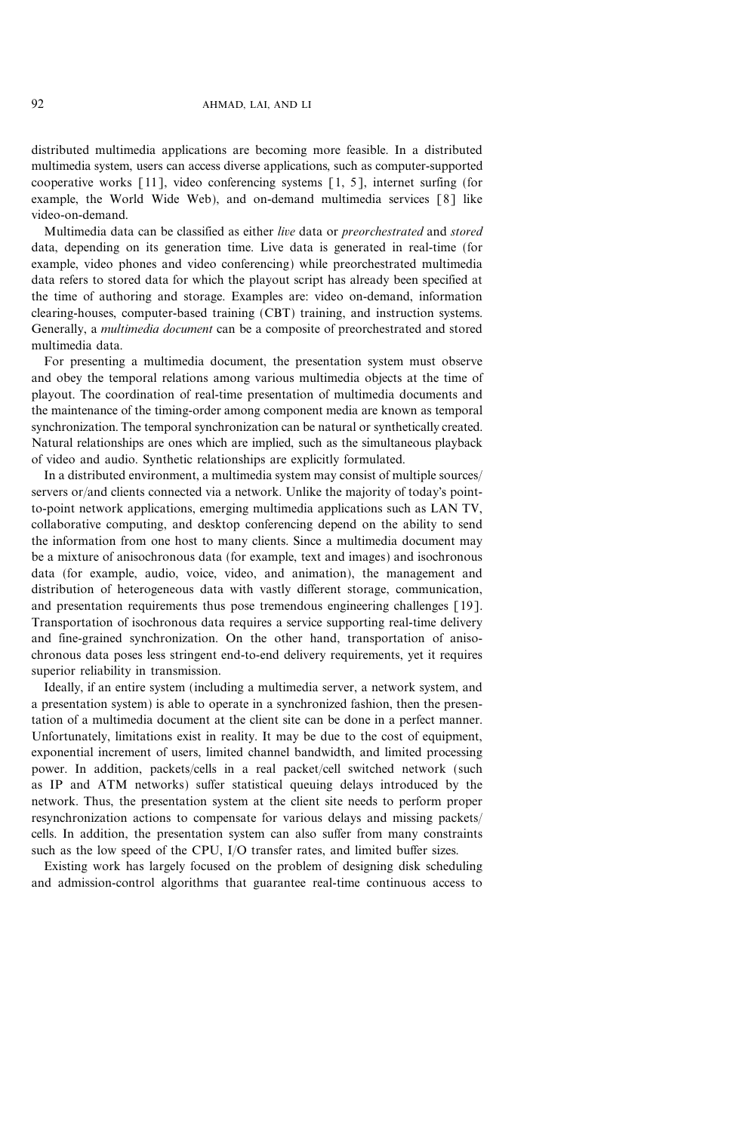distributed multimedia applications are becoming more feasible. In a distributed multimedia system, users can access diverse applications, such as computer-supported cooperative works [11], video conferencing systems [1, 5], internet surfing (for example, the World Wide Web), and on-demand multimedia services [8] like video-on-demand.

Multimedia data can be classified as either live data or preorchestrated and stored data, depending on its generation time. Live data is generated in real-time (for example, video phones and video conferencing) while preorchestrated multimedia data refers to stored data for which the playout script has already been specified at the time of authoring and storage. Examples are: video on-demand, information clearing-houses, computer-based training (CBT) training, and instruction systems. Generally, a *multimedia document* can be a composite of preorchestrated and stored multimedia data.

For presenting a multimedia document, the presentation system must observe and obey the temporal relations among various multimedia objects at the time of playout. The coordination of real-time presentation of multimedia documents and the maintenance of the timing-order among component media are known as temporal synchronization. The temporal synchronization can be natural or synthetically created. Natural relationships are ones which are implied, such as the simultaneous playback of video and audio. Synthetic relationships are explicitly formulated.

In a distributed environment, a multimedia system may consist of multiple sources servers or/and clients connected via a network. Unlike the majority of today's pointto-point network applications, emerging multimedia applications such as LAN TV, collaborative computing, and desktop conferencing depend on the ability to send the information from one host to many clients. Since a multimedia document may be a mixture of anisochronous data (for example, text and images) and isochronous data (for example, audio, voice, video, and animation), the management and distribution of heterogeneous data with vastly different storage, communication, and presentation requirements thus pose tremendous engineering challenges [19]. Transportation of isochronous data requires a service supporting real-time delivery and fine-grained synchronization. On the other hand, transportation of anisochronous data poses less stringent end-to-end delivery requirements, yet it requires superior reliability in transmission.

Ideally, if an entire system (including a multimedia server, a network system, and a presentation system) is able to operate in a synchronized fashion, then the presentation of a multimedia document at the client site can be done in a perfect manner. Unfortunately, limitations exist in reality. It may be due to the cost of equipment, exponential increment of users, limited channel bandwidth, and limited processing power. In addition, packets/cells in a real packet/cell switched network (such as IP and ATM networks) suffer statistical queuing delays introduced by the network. Thus, the presentation system at the client site needs to perform proper resynchronization actions to compensate for various delays and missing packets cells. In addition, the presentation system can also suffer from many constraints such as the low speed of the CPU, I/O transfer rates, and limited buffer sizes.

Existing work has largely focused on the problem of designing disk scheduling and admission-control algorithms that guarantee real-time continuous access to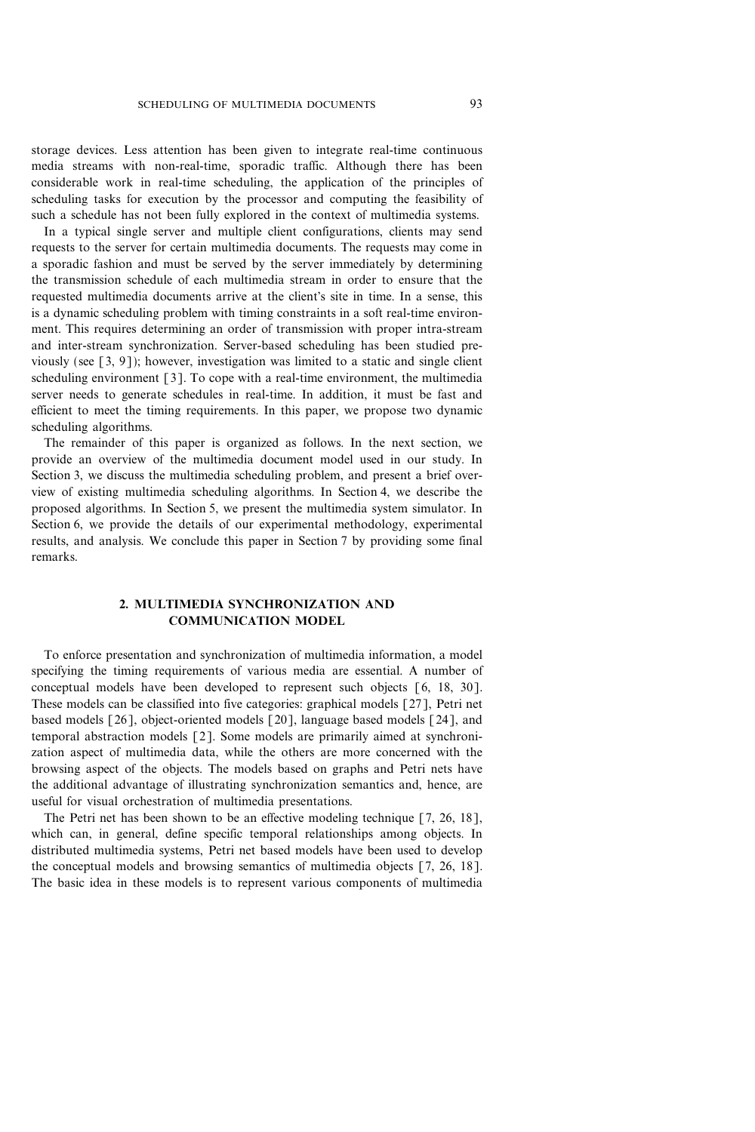storage devices. Less attention has been given to integrate real-time continuous media streams with non-real-time, sporadic traffic. Although there has been considerable work in real-time scheduling, the application of the principles of scheduling tasks for execution by the processor and computing the feasibility of such a schedule has not been fully explored in the context of multimedia systems.

In a typical single server and multiple client configurations, clients may send requests to the server for certain multimedia documents. The requests may come in a sporadic fashion and must be served by the server immediately by determining the transmission schedule of each multimedia stream in order to ensure that the requested multimedia documents arrive at the client's site in time. In a sense, this is a dynamic scheduling problem with timing constraints in a soft real-time environment. This requires determining an order of transmission with proper intra-stream and inter-stream synchronization. Server-based scheduling has been studied previously (see [3, 9]); however, investigation was limited to a static and single client scheduling environment [3]. To cope with a real-time environment, the multimedia server needs to generate schedules in real-time. In addition, it must be fast and efficient to meet the timing requirements. In this paper, we propose two dynamic scheduling algorithms.

The remainder of this paper is organized as follows. In the next section, we provide an overview of the multimedia document model used in our study. In Section 3, we discuss the multimedia scheduling problem, and present a brief overview of existing multimedia scheduling algorithms. In Section 4, we describe the proposed algorithms. In Section 5, we present the multimedia system simulator. In Section 6, we provide the details of our experimental methodology, experimental results, and analysis. We conclude this paper in Section 7 by providing some final remarks.

# 2. MULTIMEDIA SYNCHRONIZATION AND COMMUNICATION MODEL

To enforce presentation and synchronization of multimedia information, a model specifying the timing requirements of various media are essential. A number of conceptual models have been developed to represent such objects [6, 18, 30]. These models can be classified into five categories: graphical models [27], Petri net based models [26], object-oriented models [20], language based models [24], and temporal abstraction models [2]. Some models are primarily aimed at synchronization aspect of multimedia data, while the others are more concerned with the browsing aspect of the objects. The models based on graphs and Petri nets have the additional advantage of illustrating synchronization semantics and, hence, are useful for visual orchestration of multimedia presentations.

The Petri net has been shown to be an effective modeling technique [7, 26, 18], which can, in general, define specific temporal relationships among objects. In distributed multimedia systems, Petri net based models have been used to develop the conceptual models and browsing semantics of multimedia objects [7, 26, 18]. The basic idea in these models is to represent various components of multimedia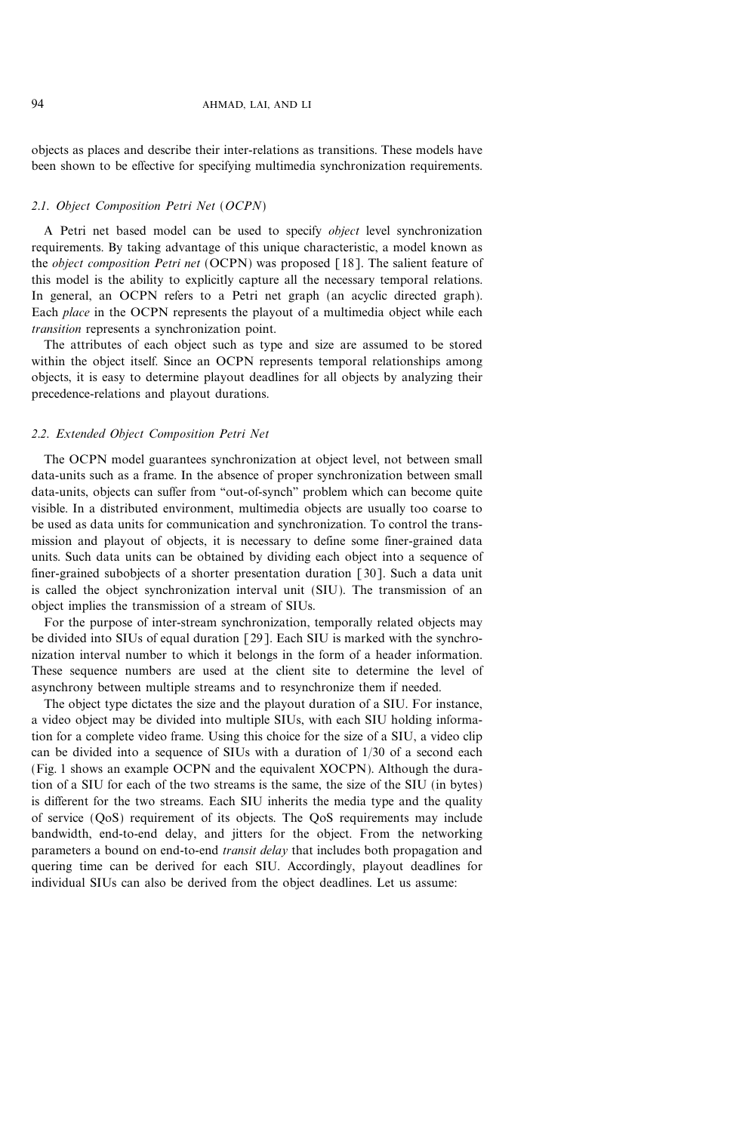objects as places and describe their inter-relations as transitions. These models have been shown to be effective for specifying multimedia synchronization requirements.

#### 2.1. Object Composition Petri Net (OCPN)

A Petri net based model can be used to specify *object* level synchronization requirements. By taking advantage of this unique characteristic, a model known as the *object composition Petri net* (OCPN) was proposed [18]. The salient feature of this model is the ability to explicitly capture all the necessary temporal relations. In general, an OCPN refers to a Petri net graph (an acyclic directed graph). Each place in the OCPN represents the playout of a multimedia object while each transition represents a synchronization point.

The attributes of each object such as type and size are assumed to be stored within the object itself. Since an OCPN represents temporal relationships among objects, it is easy to determine playout deadlines for all objects by analyzing their precedence-relations and playout durations.

## 2.2. Extended Object Composition Petri Net

The OCPN model guarantees synchronization at object level, not between small data-units such as a frame. In the absence of proper synchronization between small data-units, objects can suffer from "out-of-synch" problem which can become quite visible. In a distributed environment, multimedia objects are usually too coarse to be used as data units for communication and synchronization. To control the transmission and playout of objects, it is necessary to define some finer-grained data units. Such data units can be obtained by dividing each object into a sequence of finer-grained subobjects of a shorter presentation duration [30]. Such a data unit is called the object synchronization interval unit (SIU). The transmission of an object implies the transmission of a stream of SIUs.

For the purpose of inter-stream synchronization, temporally related objects may be divided into SIUs of equal duration [29]. Each SIU is marked with the synchronization interval number to which it belongs in the form of a header information. These sequence numbers are used at the client site to determine the level of asynchrony between multiple streams and to resynchronize them if needed.

The object type dictates the size and the playout duration of a SIU. For instance, a video object may be divided into multiple SIUs, with each SIU holding information for a complete video frame. Using this choice for the size of a SIU, a video clip can be divided into a sequence of SIUs with a duration of  $1/30$  of a second each (Fig. 1 shows an example OCPN and the equivalent XOCPN). Although the duration of a SIU for each of the two streams is the same, the size of the SIU (in bytes) is different for the two streams. Each SIU inherits the media type and the quality of service (QoS) requirement of its objects. The QoS requirements may include bandwidth, end-to-end delay, and jitters for the object. From the networking parameters a bound on end-to-end transit delay that includes both propagation and quering time can be derived for each SIU. Accordingly, playout deadlines for individual SIUs can also be derived from the object deadlines. Let us assume: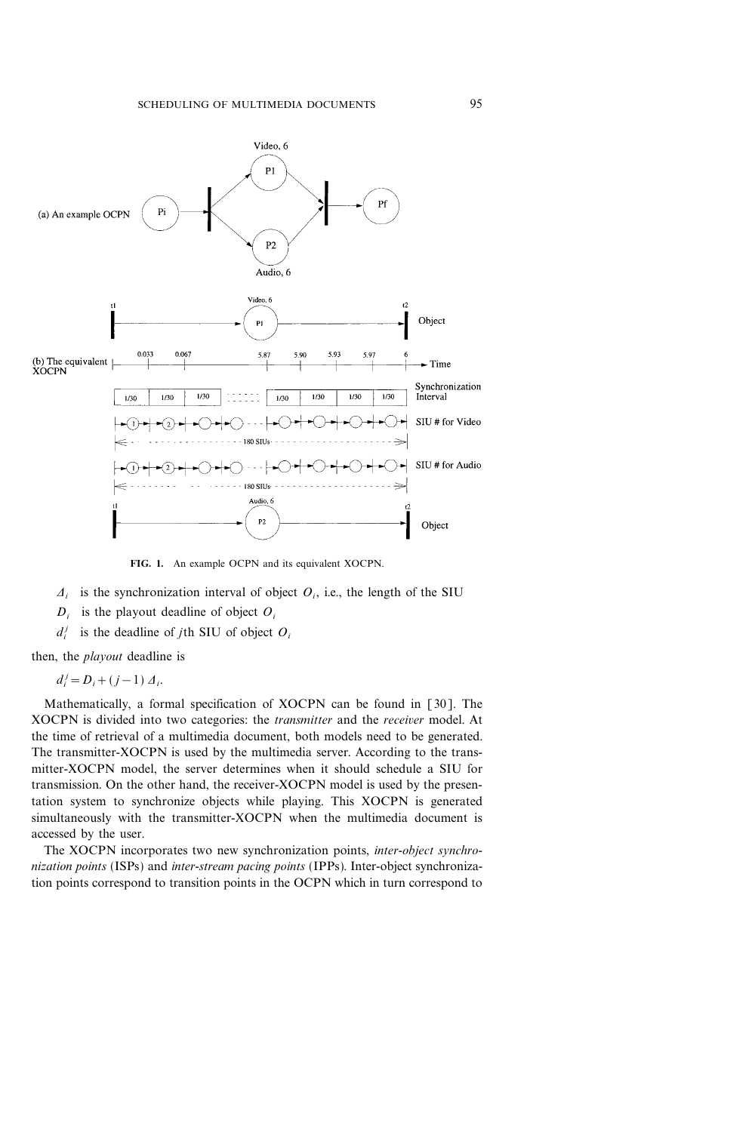

FIG. 1. An example OCPN and its equivalent XOCPN.

 $\Delta_i$  is the synchronization interval of object  $O_i$ , i.e., the length of the SIU

 $D_i$  is the playout deadline of object  $O_i$ 

 $d^j$ is the deadline of *j*th SIU of object  $O_i$ 

then, the *playout* deadline is

$$
d_i^j = D_i + (j - 1) \Delta_i.
$$

Mathematically, a formal specification of XOCPN can be found in [30]. The XOCPN is divided into two categories: the *transmitter* and the *receiver* model. At the time of retrieval of a multimedia document, both models need to be generated. The transmitter-XOCPN is used by the multimedia server. According to the transmitter-XOCPN model, the server determines when it should schedule a SIU for transmission. On the other hand, the receiver-XOCPN model is used by the presentation system to synchronize objects while playing. This XOCPN is generated simultaneously with the transmitter-XOCPN when the multimedia document is accessed by the user.

The XOCPN incorporates two new synchronization points, inter-object synchronization points (ISPs) and inter-stream pacing points (IPPs). Inter-object synchronization points correspond to transition points in the OCPN which in turn correspond to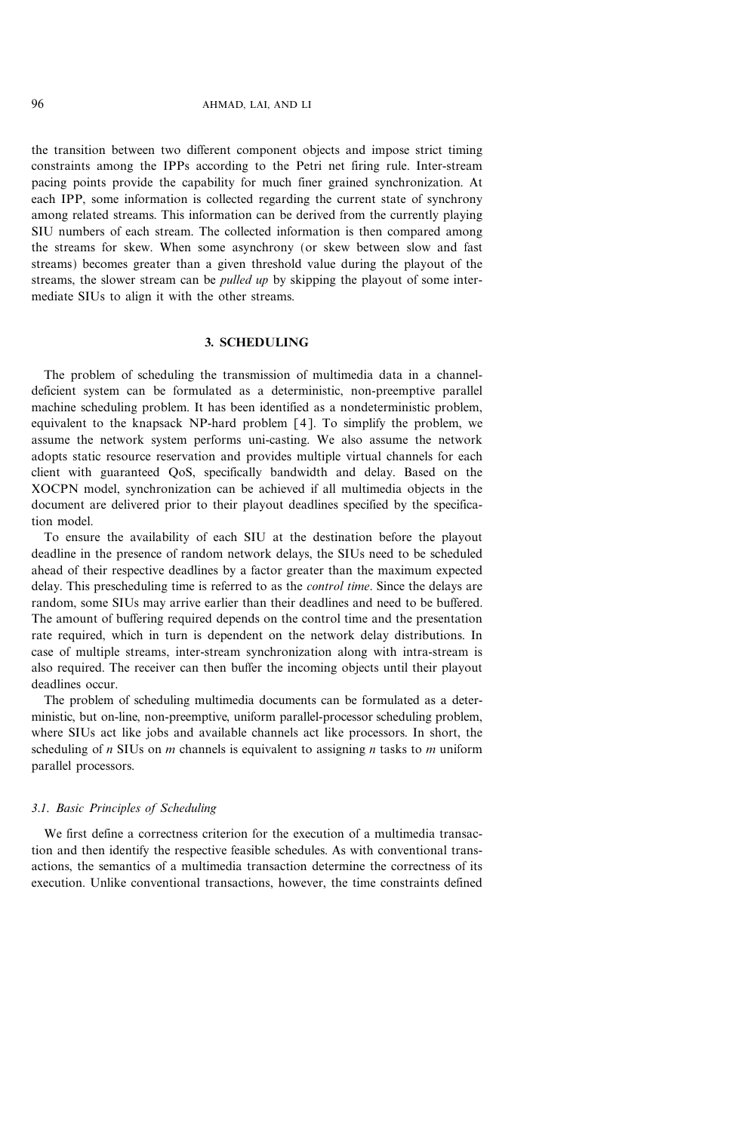the transition between two different component objects and impose strict timing constraints among the IPPs according to the Petri net firing rule. Inter-stream pacing points provide the capability for much finer grained synchronization. At each IPP, some information is collected regarding the current state of synchrony among related streams. This information can be derived from the currently playing SIU numbers of each stream. The collected information is then compared among the streams for skew. When some asynchrony (or skew between slow and fast streams) becomes greater than a given threshold value during the playout of the streams, the slower stream can be *pulled up* by skipping the playout of some intermediate SIUs to align it with the other streams.

## 3. SCHEDULING

The problem of scheduling the transmission of multimedia data in a channeldeficient system can be formulated as a deterministic, non-preemptive parallel machine scheduling problem. It has been identified as a nondeterministic problem, equivalent to the knapsack NP-hard problem  $\lceil 4 \rceil$ . To simplify the problem, we assume the network system performs uni-casting. We also assume the network adopts static resource reservation and provides multiple virtual channels for each client with guaranteed QoS, specifically bandwidth and delay. Based on the XOCPN model, synchronization can be achieved if all multimedia objects in the document are delivered prior to their playout deadlines specified by the specification model.

To ensure the availability of each SIU at the destination before the playout deadline in the presence of random network delays, the SIUs need to be scheduled ahead of their respective deadlines by a factor greater than the maximum expected delay. This prescheduling time is referred to as the *control time*. Since the delays are random, some SIUs may arrive earlier than their deadlines and need to be buffered. The amount of buffering required depends on the control time and the presentation rate required, which in turn is dependent on the network delay distributions. In case of multiple streams, inter-stream synchronization along with intra-stream is also required. The receiver can then buffer the incoming objects until their playout deadlines occur.

The problem of scheduling multimedia documents can be formulated as a deterministic, but on-line, non-preemptive, uniform parallel-processor scheduling problem, where SIUs act like jobs and available channels act like processors. In short, the scheduling of  $n$  SIUs on  $m$  channels is equivalent to assigning  $n$  tasks to  $m$  uniform parallel processors.

#### 3.1. Basic Principles of Scheduling

We first define a correctness criterion for the execution of a multimedia transaction and then identify the respective feasible schedules. As with conventional transactions, the semantics of a multimedia transaction determine the correctness of its execution. Unlike conventional transactions, however, the time constraints defined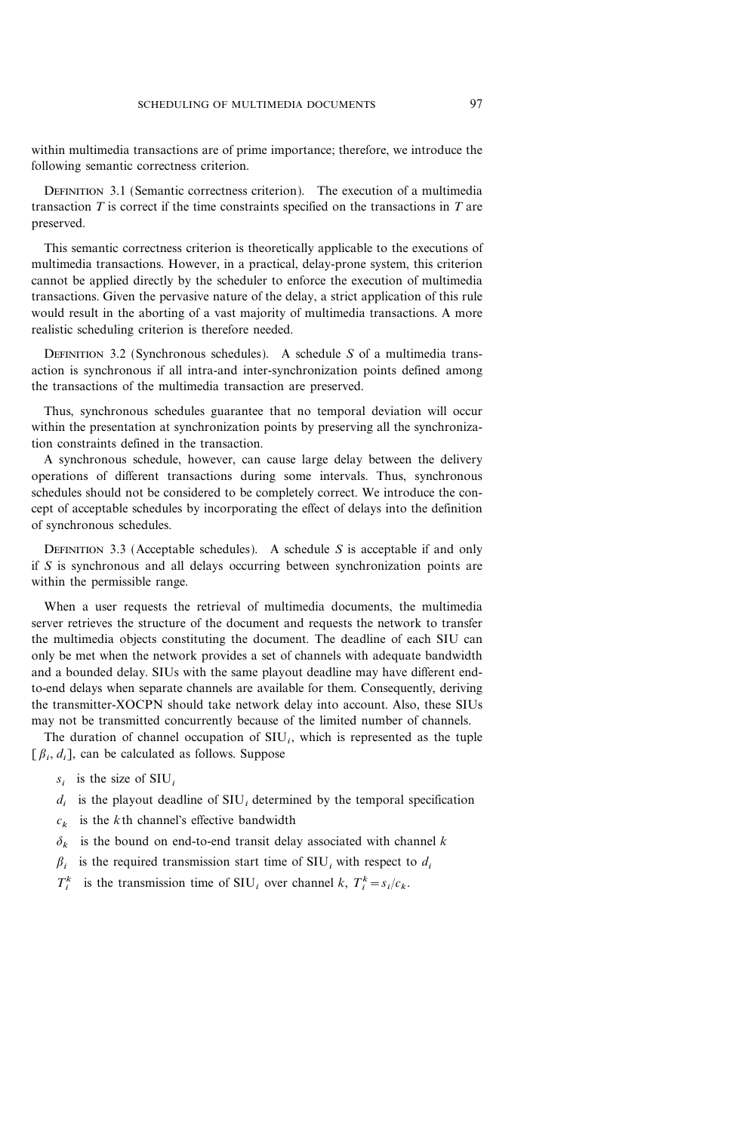within multimedia transactions are of prime importance; therefore, we introduce the following semantic correctness criterion.

DEFINITION 3.1 (Semantic correctness criterion). The execution of a multimedia transaction  $T$  is correct if the time constraints specified on the transactions in  $T$  are preserved.

This semantic correctness criterion is theoretically applicable to the executions of multimedia transactions. However, in a practical, delay-prone system, this criterion cannot be applied directly by the scheduler to enforce the execution of multimedia transactions. Given the pervasive nature of the delay, a strict application of this rule would result in the aborting of a vast majority of multimedia transactions. A more realistic scheduling criterion is therefore needed.

DEFINITION 3.2 (Synchronous schedules). A schedule  $S$  of a multimedia transaction is synchronous if all intra-and inter-synchronization points defined among the transactions of the multimedia transaction are preserved.

Thus, synchronous schedules guarantee that no temporal deviation will occur within the presentation at synchronization points by preserving all the synchronization constraints defined in the transaction.

A synchronous schedule, however, can cause large delay between the delivery operations of different transactions during some intervals. Thus, synchronous schedules should not be considered to be completely correct. We introduce the concept of acceptable schedules by incorporating the effect of delays into the definition of synchronous schedules.

DEFINITION 3.3 (Acceptable schedules). A schedule  $S$  is acceptable if and only if S is synchronous and all delays occurring between synchronization points are within the permissible range.

When a user requests the retrieval of multimedia documents, the multimedia server retrieves the structure of the document and requests the network to transfer the multimedia objects constituting the document. The deadline of each SIU can only be met when the network provides a set of channels with adequate bandwidth and a bounded delay. SIUs with the same playout deadline may have different endto-end delays when separate channels are available for them. Consequently, deriving the transmitter-XOCPN should take network delay into account. Also, these SIUs may not be transmitted concurrently because of the limited number of channels.

The duration of channel occupation of  $\text{SIU}_i$ , which is represented as the tuple  $[\beta_i, d_i]$ , can be calculated as follows. Suppose

- $s_i$  is the size of SIU.
- $d_i$  is the playout deadline of SIU; determined by the temporal specification
- $c_k$  is the kth channel's effective bandwidth
- $\delta_k$  is the bound on end-to-end transit delay associated with channel k
- $\beta_i$  is the required transmission start time of SIU<sub>i</sub> with respect to  $d_i$
- $T_i^k$  $i<sub>i</sub>$  is the transmission time of SIU<sub>i</sub> over channel k,  $T_i^k = s_i/c_k$ .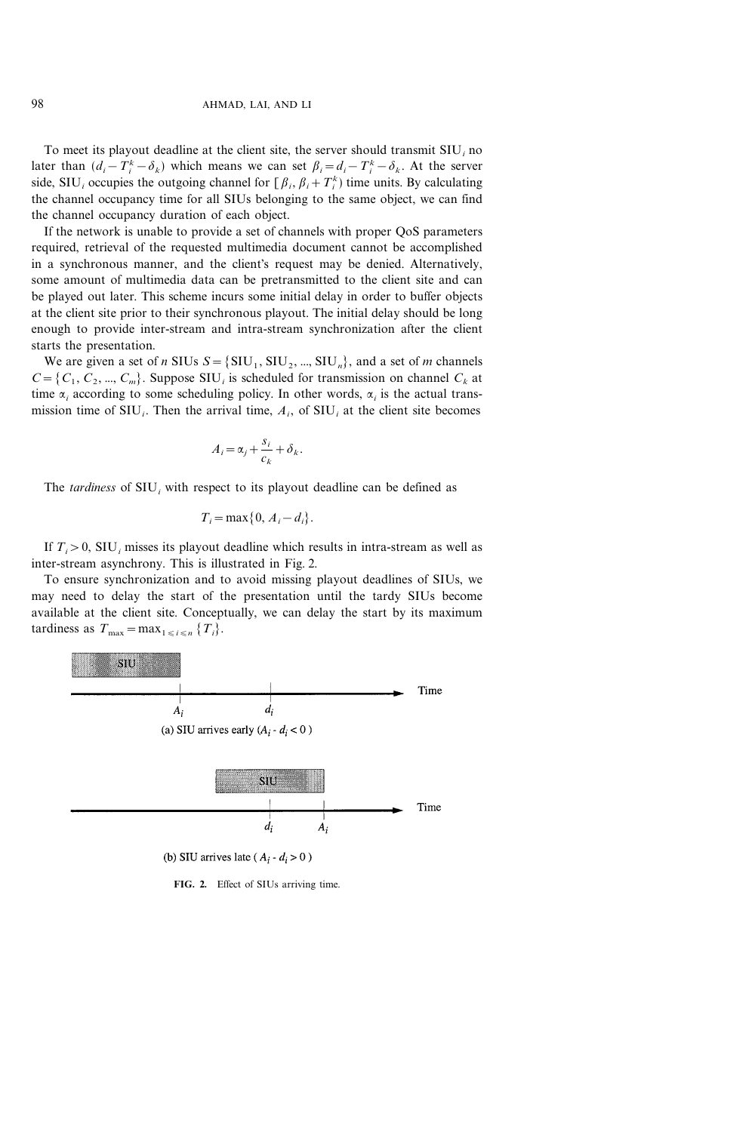To meet its playout deadline at the client site, the server should transmit  $\text{SIU}_i$  no later than  $(d_i - T_i^k - \delta_k)$  which means we can set  $\beta_i = d_i - T_i^k - \delta_k$ . At the server side, SIU<sub>i</sub> occupies the outgoing channel for  $[\beta_i, \beta_i + T_i^k)$  time units. By calculating the channel occupancy time for all SIUs belonging to the same object, we can find the channel occupancy duration of each object.

If the network is unable to provide a set of channels with proper QoS parameters required, retrieval of the requested multimedia document cannot be accomplished in a synchronous manner, and the client's request may be denied. Alternatively, some amount of multimedia data can be pretransmitted to the client site and can be played out later. This scheme incurs some initial delay in order to buffer objects at the client site prior to their synchronous playout. The initial delay should be long enough to provide inter-stream and intra-stream synchronization after the client starts the presentation.

We are given a set of n SIUs  $S = \{SIU_1, SU_2, ..., SU_n\}$ , and a set of m channels  $C = \{C_1, C_2, ..., C_m\}$ . Suppose SIU<sub>i</sub> is scheduled for transmission on channel  $C_k$  at time  $\alpha_i$  according to some scheduling policy. In other words,  $\alpha_i$  is the actual transmission time of  $\text{SIU}_i$ . Then the arrival time,  $A_i$ , of  $\text{SIU}_i$  at the client site becomes

$$
A_i = \alpha_j + \frac{s_i}{c_k} + \delta_k.
$$

The tardiness of  $\text{SIU}_i$  with respect to its playout deadline can be defined as

$$
T_i = \max\{0, A_i - d_i\}.
$$

If  $T_i>0$ , SIU<sub>i</sub> misses its playout deadline which results in intra-stream as well as inter-stream asynchrony. This is illustrated in Fig. 2.

To ensure synchronization and to avoid missing playout deadlines of SIUs, we may need to delay the start of the presentation until the tardy SIUs become available at the client site. Conceptually, we can delay the start by its maximum tardiness as  $T_{\text{max}} = \max_{1 \le i \le n} \{T_i\}.$ 



(b) SIU arrives late ( $A_i - d_i > 0$ )

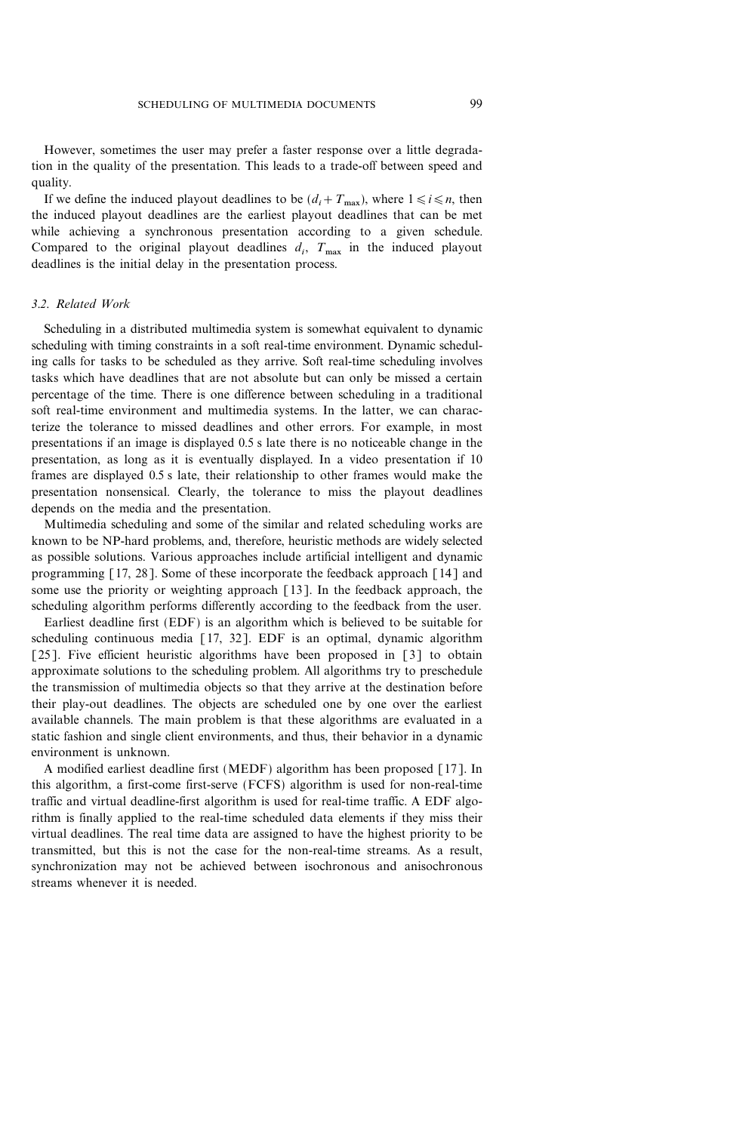However, sometimes the user may prefer a faster response over a little degradation in the quality of the presentation. This leads to a trade-off between speed and quality.

If we define the induced playout deadlines to be  $(d_i+T_{\text{max}})$ , where  $1 \le i \le n$ , then the induced playout deadlines are the earliest playout deadlines that can be met while achieving a synchronous presentation according to a given schedule. Compared to the original playout deadlines  $d_i$ ,  $T_{\text{max}}$  in the induced playout deadlines is the initial delay in the presentation process.

#### 3.2. Related Work

Scheduling in a distributed multimedia system is somewhat equivalent to dynamic scheduling with timing constraints in a soft real-time environment. Dynamic scheduling calls for tasks to be scheduled as they arrive. Soft real-time scheduling involves tasks which have deadlines that are not absolute but can only be missed a certain percentage of the time. There is one difference between scheduling in a traditional soft real-time environment and multimedia systems. In the latter, we can characterize the tolerance to missed deadlines and other errors. For example, in most presentations if an image is displayed 0.5 s late there is no noticeable change in the presentation, as long as it is eventually displayed. In a video presentation if 10 frames are displayed 0.5 s late, their relationship to other frames would make the presentation nonsensical. Clearly, the tolerance to miss the playout deadlines depends on the media and the presentation.

Multimedia scheduling and some of the similar and related scheduling works are known to be NP-hard problems, and, therefore, heuristic methods are widely selected as possible solutions. Various approaches include artificial intelligent and dynamic programming [17, 28]. Some of these incorporate the feedback approach [14] and some use the priority or weighting approach [13]. In the feedback approach, the scheduling algorithm performs differently according to the feedback from the user.

Earliest deadline first (EDF) is an algorithm which is believed to be suitable for scheduling continuous media  $[17, 32]$ . EDF is an optimal, dynamic algorithm [25]. Five efficient heuristic algorithms have been proposed in [3] to obtain approximate solutions to the scheduling problem. All algorithms try to preschedule the transmission of multimedia objects so that they arrive at the destination before their play-out deadlines. The objects are scheduled one by one over the earliest available channels. The main problem is that these algorithms are evaluated in a static fashion and single client environments, and thus, their behavior in a dynamic environment is unknown.

A modified earliest deadline first (MEDF) algorithm has been proposed [17]. In this algorithm, a first-come first-serve (FCFS) algorithm is used for non-real-time traffic and virtual deadline-first algorithm is used for real-time traffic. A EDF algorithm is finally applied to the real-time scheduled data elements if they miss their virtual deadlines. The real time data are assigned to have the highest priority to be transmitted, but this is not the case for the non-real-time streams. As a result, synchronization may not be achieved between isochronous and anisochronous streams whenever it is needed.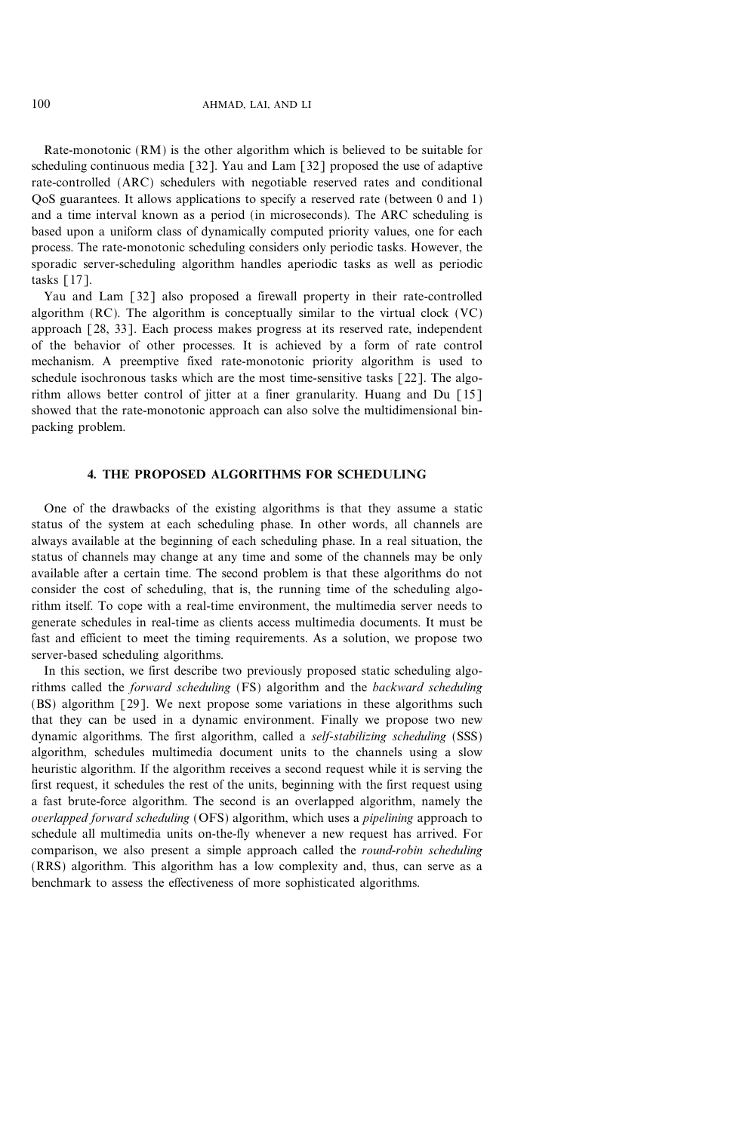Rate-monotonic (RM) is the other algorithm which is believed to be suitable for scheduling continuous media [32]. Yau and Lam [32] proposed the use of adaptive rate-controlled (ARC) schedulers with negotiable reserved rates and conditional QoS guarantees. It allows applications to specify a reserved rate (between 0 and 1) and a time interval known as a period (in microseconds). The ARC scheduling is based upon a uniform class of dynamically computed priority values, one for each process. The rate-monotonic scheduling considers only periodic tasks. However, the sporadic server-scheduling algorithm handles aperiodic tasks as well as periodic tasks [17].

Yau and Lam [32] also proposed a firewall property in their rate-controlled algorithm  $(RC)$ . The algorithm is conceptually similar to the virtual clock  $(VC)$ approach [28, 33]. Each process makes progress at its reserved rate, independent of the behavior of other processes. It is achieved by a form of rate control mechanism. A preemptive fixed rate-monotonic priority algorithm is used to schedule isochronous tasks which are the most time-sensitive tasks [22]. The algorithm allows better control of jitter at a finer granularity. Huang and Du [15] showed that the rate-monotonic approach can also solve the multidimensional binpacking problem.

## 4. THE PROPOSED ALGORITHMS FOR SCHEDULING

One of the drawbacks of the existing algorithms is that they assume a static status of the system at each scheduling phase. In other words, all channels are always available at the beginning of each scheduling phase. In a real situation, the status of channels may change at any time and some of the channels may be only available after a certain time. The second problem is that these algorithms do not consider the cost of scheduling, that is, the running time of the scheduling algorithm itself. To cope with a real-time environment, the multimedia server needs to generate schedules in real-time as clients access multimedia documents. It must be fast and efficient to meet the timing requirements. As a solution, we propose two server-based scheduling algorithms.

In this section, we first describe two previously proposed static scheduling algorithms called the *forward scheduling* (FS) algorithm and the *backward scheduling* (BS) algorithm [29]. We next propose some variations in these algorithms such that they can be used in a dynamic environment. Finally we propose two new dynamic algorithms. The first algorithm, called a self-stabilizing scheduling (SSS) algorithm, schedules multimedia document units to the channels using a slow heuristic algorithm. If the algorithm receives a second request while it is serving the first request, it schedules the rest of the units, beginning with the first request using a fast brute-force algorithm. The second is an overlapped algorithm, namely the overlapped forward scheduling (OFS) algorithm, which uses a pipelining approach to schedule all multimedia units on-the-fly whenever a new request has arrived. For comparison, we also present a simple approach called the *round-robin scheduling* (RRS) algorithm. This algorithm has a low complexity and, thus, can serve as a benchmark to assess the effectiveness of more sophisticated algorithms.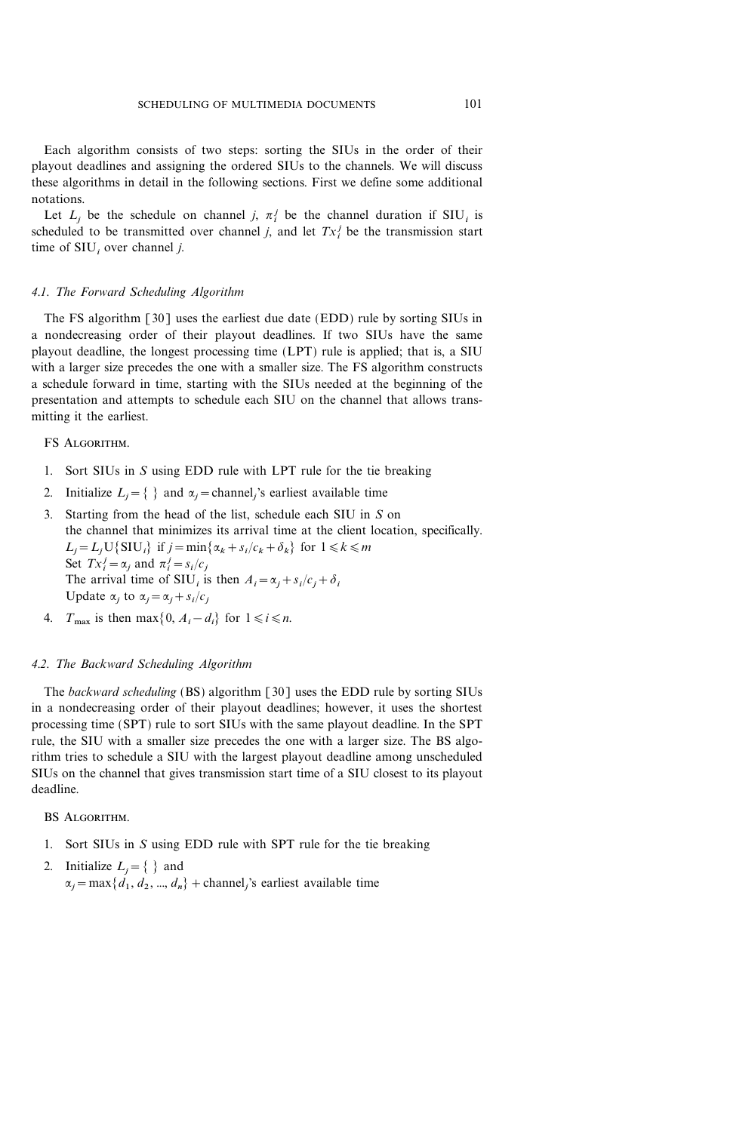Each algorithm consists of two steps: sorting the SIUs in the order of their playout deadlines and assigning the ordered SIUs to the channels. We will discuss these algorithms in detail in the following sections. First we define some additional notations.

Let  $L_j$  be the schedule on channel j,  $\pi_i^j$  be the channel duration if SIU<sub>i</sub> is scheduled to be transmitted over channel j, and let  $Tx_i^j$  be the transmission start time of  $\text{SIU}_i$  over channel *j*.

#### 4.1. The Forward Scheduling Algorithm

The FS algorithm [30] uses the earliest due date (EDD) rule by sorting SIUs in a nondecreasing order of their playout deadlines. If two SIUs have the same playout deadline, the longest processing time (LPT) rule is applied; that is, a SIU with a larger size precedes the one with a smaller size. The FS algorithm constructs a schedule forward in time, starting with the SIUs needed at the beginning of the presentation and attempts to schedule each SIU on the channel that allows transmitting it the earliest.

## FS Algorithm.

- 1. Sort SIUs in S using EDD rule with LPT rule for the tie breaking
- 2. Initialize  $L_i = \{\}$  and  $\alpha_i$  = channel,'s earliest available time
- 3. Starting from the head of the list, schedule each SIU in S on the channel that minimizes its arrival time at the client location, specifically.  $L_i = L_j \text{U} \{ \text{SIU}_i \}$  if  $j = \min\{\alpha_k + s_i/c_k + \delta_k\}$  for  $1 \le k \le m$ Set  $Tx_i^j = \alpha_j$  and  $\pi_i^j = s_i/c_j$ The arrival time of SIU<sub>i</sub> is then  $A_i = \alpha_i + s_i/c_i + \delta_i$ Update  $\alpha_i$  to  $\alpha_j = \alpha_j + s_i/c_j$
- 4.  $T_{\text{max}}$  is then  $\max\{0, A_i d_i\}$  for  $1 \le i \le n$ .

#### 4.2. The Backward Scheduling Algorithm

The backward scheduling (BS) algorithm [30] uses the EDD rule by sorting SIUs in a nondecreasing order of their playout deadlines; however, it uses the shortest processing time (SPT) rule to sort SIUs with the same playout deadline. In the SPT rule, the SIU with a smaller size precedes the one with a larger size. The BS algorithm tries to schedule a SIU with the largest playout deadline among unscheduled SIUs on the channel that gives transmission start time of a SIU closest to its playout deadline.

BS Algorithm.

- 1. Sort SIUs in S using EDD rule with SPT rule for the tie breaking
- 2. Initialize  $L_i = \{ \}$  and  $\alpha_j = \max\{d_1, d_2, ..., d_n\} + \text{channel}$  's earliest available time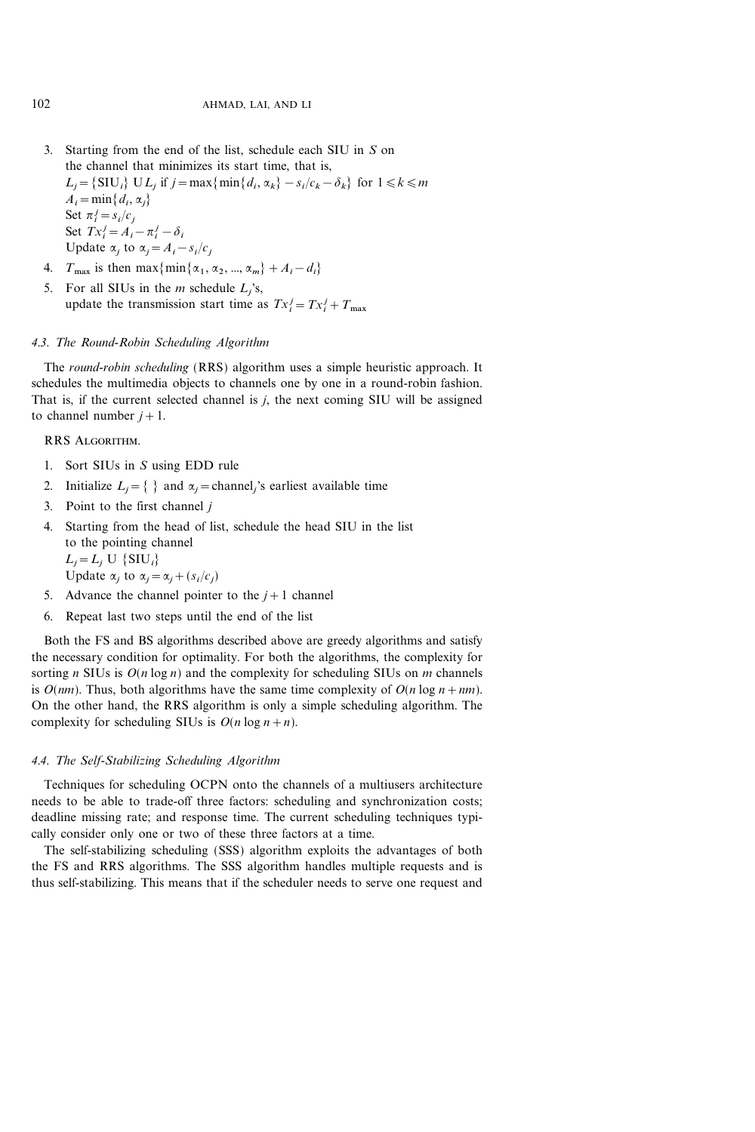- 3. Starting from the end of the list, schedule each SIU in S on the channel that minimizes its start time, that is,  $L_j = \{ \text{SIU}_i \} \text{U} L_j \text{ if } j = \max\{ \min\{d_i, \alpha_k\} - s_i/c_k - \delta_k \} \text{ for } 1 \leq k \leq m$  $A_i = \min\{d_i, \alpha_i\}$ Set  $\pi_i^j = s_i/c_j$ Set  $Tx_i^j = A_i - \pi_i^j - \delta_i$ Update  $\alpha_i$  to  $\alpha_j = A_i - s_i/c_j$ 4.  $T_{\text{max}}$  is then  $\max{\min{\{\alpha_1, \alpha_2, ..., \alpha_m\}} + A_i - d_i}$
- 5. For all SIUs in the *m* schedule  $L_i$ 's, update the transmission start time as  $Tx_i^j = Tx_i^j + T_{\text{max}}$

## 4.3. The Round-Robin Scheduling Algorithm

The round-robin scheduling (RRS) algorithm uses a simple heuristic approach. It schedules the multimedia objects to channels one by one in a round-robin fashion. That is, if the current selected channel is  $j$ , the next coming SIU will be assigned to channel number  $j+1$ .

# RRS Algorithm.

- 1. Sort SIUs in S using EDD rule
- 2. Initialize  $L_i = \{ \}$  and  $\alpha_i$  = channel,'s earliest available time
- 3. Point to the first channel  $i$
- 4. Starting from the head of list, schedule the head SIU in the list to the pointing channel  $L_i = L_i$  U  $\{SIU_i\}$ Update  $\alpha_j$  to  $\alpha_j = \alpha_j + (s_i/c_j)$
- 5. Advance the channel pointer to the  $j+1$  channel
- 6. Repeat last two steps until the end of the list

Both the FS and BS algorithms described above are greedy algorithms and satisfy the necessary condition for optimality. For both the algorithms, the complexity for sorting n SIUs is  $O(n \log n)$  and the complexity for scheduling SIUs on m channels is  $O(nm)$ . Thus, both algorithms have the same time complexity of  $O(n \log n + nm)$ . On the other hand, the RRS algorithm is only a simple scheduling algorithm. The complexity for scheduling SIUs is  $O(n \log n + n)$ .

## 4.4. The Self-Stabilizing Scheduling Algorithm

Techniques for scheduling OCPN onto the channels of a multiusers architecture needs to be able to trade-off three factors: scheduling and synchronization costs; deadline missing rate; and response time. The current scheduling techniques typically consider only one or two of these three factors at a time.

The self-stabilizing scheduling (SSS) algorithm exploits the advantages of both the FS and RRS algorithms. The SSS algorithm handles multiple requests and is thus self-stabilizing. This means that if the scheduler needs to serve one request and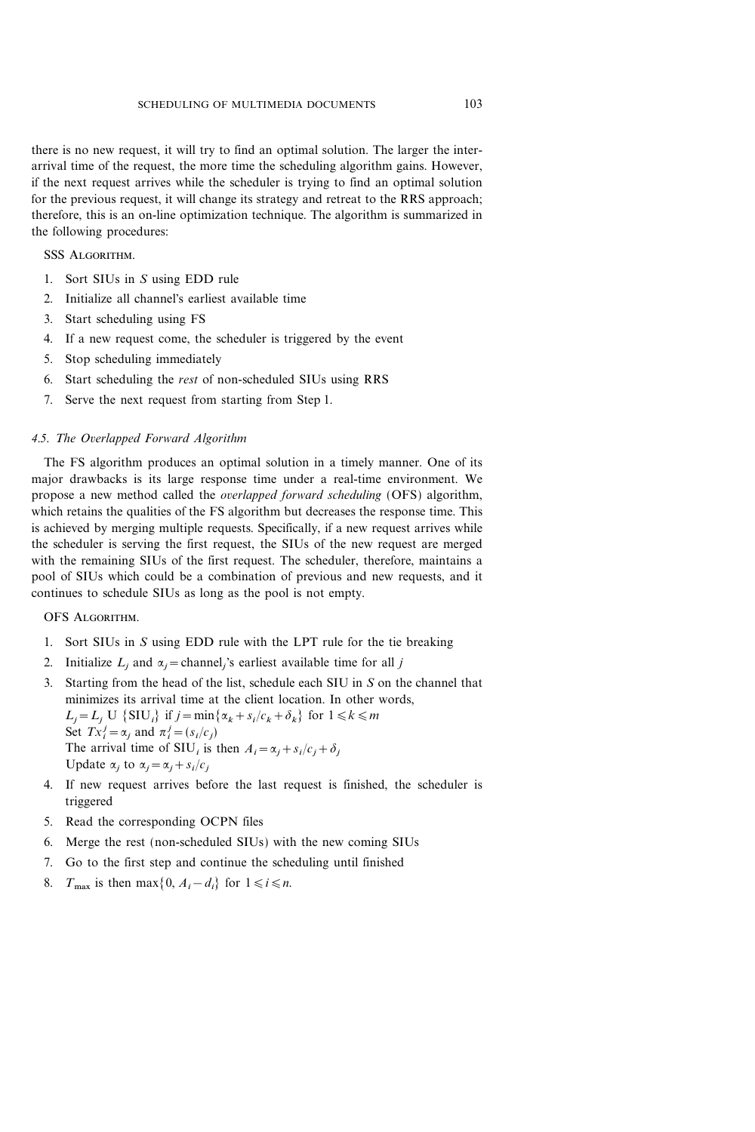there is no new request, it will try to find an optimal solution. The larger the interarrival time of the request, the more time the scheduling algorithm gains. However, if the next request arrives while the scheduler is trying to find an optimal solution for the previous request, it will change its strategy and retreat to the RRS approach; therefore, this is an on-line optimization technique. The algorithm is summarized in the following procedures:

#### SSS Algorithm.

- 1. Sort SIUs in S using EDD rule
- 2. Initialize all channel's earliest available time
- 3. Start scheduling using FS
- 4. If a new request come, the scheduler is triggered by the event
- 5. Stop scheduling immediately
- 6. Start scheduling the rest of non-scheduled SIUs using RRS
- 7. Serve the next request from starting from Step 1.

#### 4.5. The Overlapped Forward Algorithm

The FS algorithm produces an optimal solution in a timely manner. One of its major drawbacks is its large response time under a real-time environment. We propose a new method called the overlapped forward scheduling (OFS) algorithm, which retains the qualities of the FS algorithm but decreases the response time. This is achieved by merging multiple requests. Specifically, if a new request arrives while the scheduler is serving the first request, the SIUs of the new request are merged with the remaining SIUs of the first request. The scheduler, therefore, maintains a pool of SIUs which could be a combination of previous and new requests, and it continues to schedule SIUs as long as the pool is not empty.

OFS Algorithm.

- 1. Sort SIUs in S using EDD rule with the LPT rule for the tie breaking
- 2. Initialize  $L_i$  and  $\alpha_i$  = channel,'s earliest available time for all j
- 3. Starting from the head of the list, schedule each SIU in S on the channel that minimizes its arrival time at the client location. In other words,  $L_i = L_i$  U {SIU<sub>i</sub>} if  $j = min\{\alpha_k + s_i/c_k + \delta_k\}$  for  $1 \le k \le m$ Set  $Tx_i^j = \alpha_j$  and  $\pi_i^j = (s_i/c_j)$ The arrival time of SIU<sub>i</sub> is then  $A_i = \alpha_i + s_i/c_i + \delta_i$ Update  $\alpha_i$  to  $\alpha_j = \alpha_j + s_i/c_j$
- 4. If new request arrives before the last request is finished, the scheduler is triggered
- 5. Read the corresponding OCPN files
- 6. Merge the rest (non-scheduled SIUs) with the new coming SIUs
- 7. Go to the first step and continue the scheduling until finished
- 8.  $T_{\text{max}}$  is then  $\max\{0, A_i d_i\}$  for  $1 \le i \le n$ .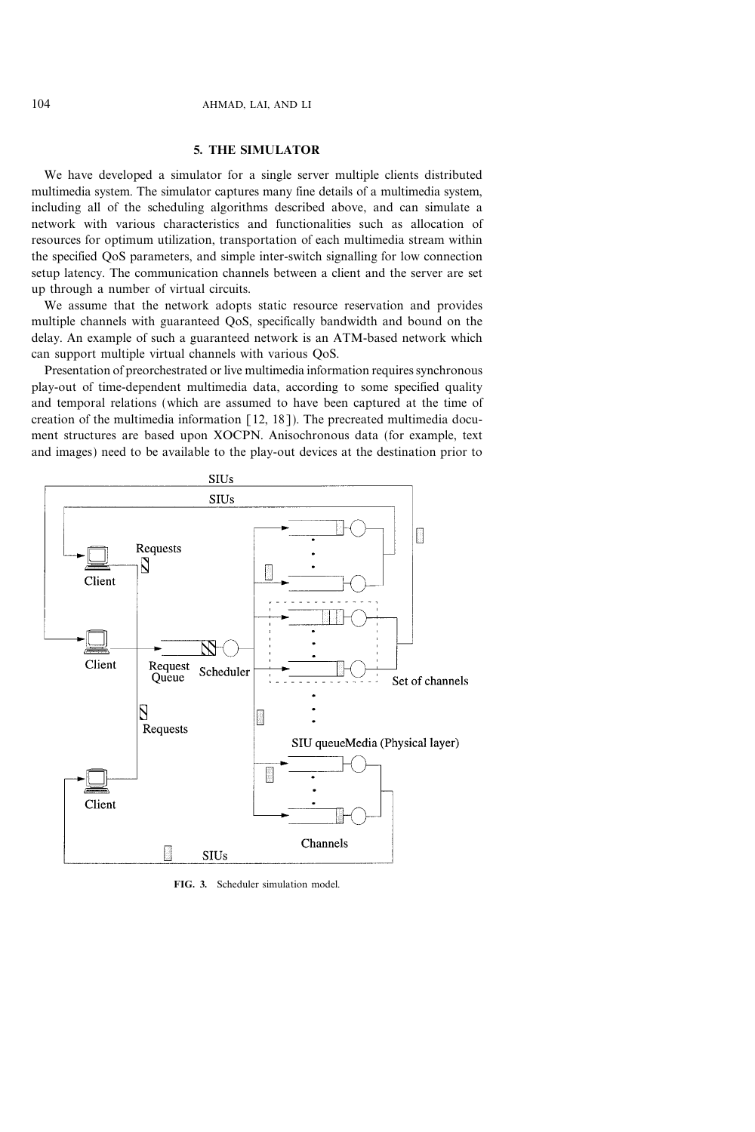## 5. THE SIMULATOR

We have developed a simulator for a single server multiple clients distributed multimedia system. The simulator captures many fine details of a multimedia system, including all of the scheduling algorithms described above, and can simulate a network with various characteristics and functionalities such as allocation of resources for optimum utilization, transportation of each multimedia stream within the specified QoS parameters, and simple inter-switch signalling for low connection setup latency. The communication channels between a client and the server are set up through a number of virtual circuits.

We assume that the network adopts static resource reservation and provides multiple channels with guaranteed QoS, specifically bandwidth and bound on the delay. An example of such a guaranteed network is an ATM-based network which can support multiple virtual channels with various QoS.

Presentation of preorchestrated or live multimedia information requires synchronous play-out of time-dependent multimedia data, according to some specified quality and temporal relations (which are assumed to have been captured at the time of creation of the multimedia information  $[12, 18]$ ). The precreated multimedia document structures are based upon XOCPN. Anisochronous data (for example, text and images) need to be available to the play-out devices at the destination prior to



FIG. 3. Scheduler simulation model.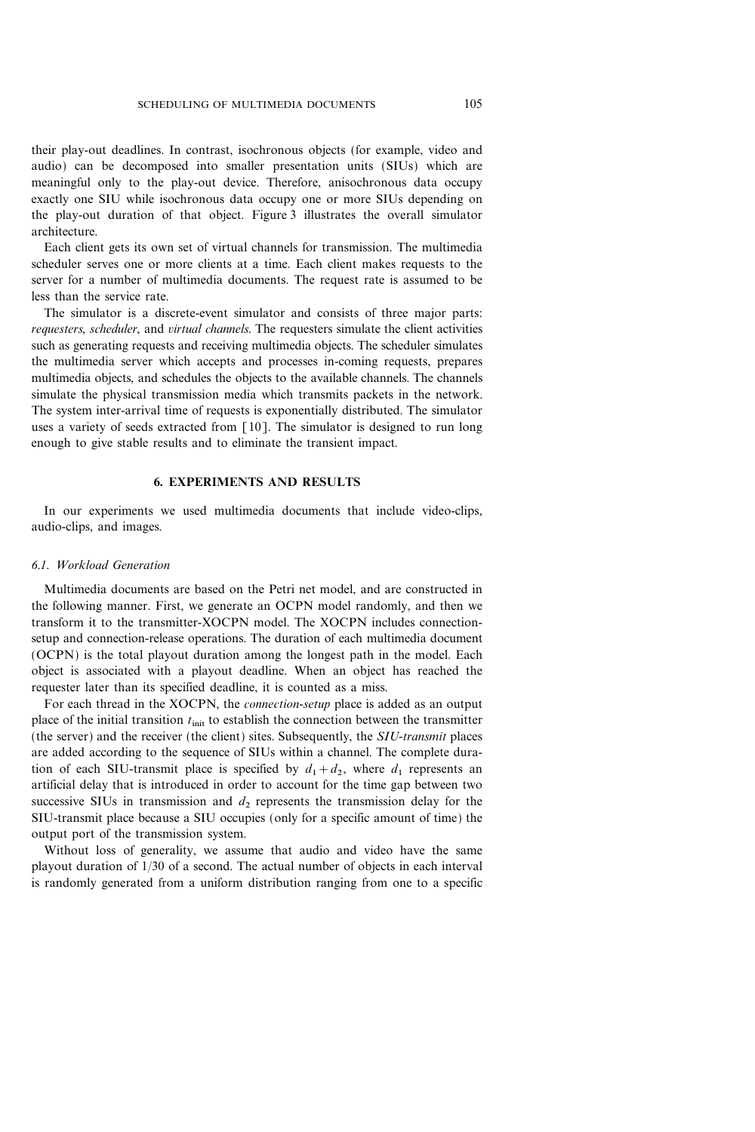their play-out deadlines. In contrast, isochronous objects (for example, video and audio) can be decomposed into smaller presentation units (SIUs) which are meaningful only to the play-out device. Therefore, anisochronous data occupy exactly one SIU while isochronous data occupy one or more SIUs depending on the play-out duration of that object. Figure 3 illustrates the overall simulator architecture.

Each client gets its own set of virtual channels for transmission. The multimedia scheduler serves one or more clients at a time. Each client makes requests to the server for a number of multimedia documents. The request rate is assumed to be less than the service rate.

The simulator is a discrete-event simulator and consists of three major parts: requesters, scheduler, and virtual channels. The requesters simulate the client activities such as generating requests and receiving multimedia objects. The scheduler simulates the multimedia server which accepts and processes in-coming requests, prepares multimedia objects, and schedules the objects to the available channels. The channels simulate the physical transmission media which transmits packets in the network. The system inter-arrival time of requests is exponentially distributed. The simulator uses a variety of seeds extracted from [10]. The simulator is designed to run long enough to give stable results and to eliminate the transient impact.

#### 6. EXPERIMENTS AND RESULTS

In our experiments we used multimedia documents that include video-clips, audio-clips, and images.

#### 6.1. Workload Generation

Multimedia documents are based on the Petri net model, and are constructed in the following manner. First, we generate an OCPN model randomly, and then we transform it to the transmitter-XOCPN model. The XOCPN includes connectionsetup and connection-release operations. The duration of each multimedia document (OCPN) is the total playout duration among the longest path in the model. Each object is associated with a playout deadline. When an object has reached the requester later than its specified deadline, it is counted as a miss.

For each thread in the XOCPN, the connection-setup place is added as an output place of the initial transition  $t_{\text{init}}$  to establish the connection between the transmitter (the server) and the receiver (the client) sites. Subsequently, the *SIU-transmit* places are added according to the sequence of SIUs within a channel. The complete duration of each SIU-transmit place is specified by  $d_1 + d_2$ , where  $d_1$  represents an artificial delay that is introduced in order to account for the time gap between two successive SIUs in transmission and  $d_2$  represents the transmission delay for the SIU-transmit place because a SIU occupies (only for a specific amount of time) the output port of the transmission system.

Without loss of generality, we assume that audio and video have the same playout duration of 130 of a second. The actual number of objects in each interval is randomly generated from a uniform distribution ranging from one to a specific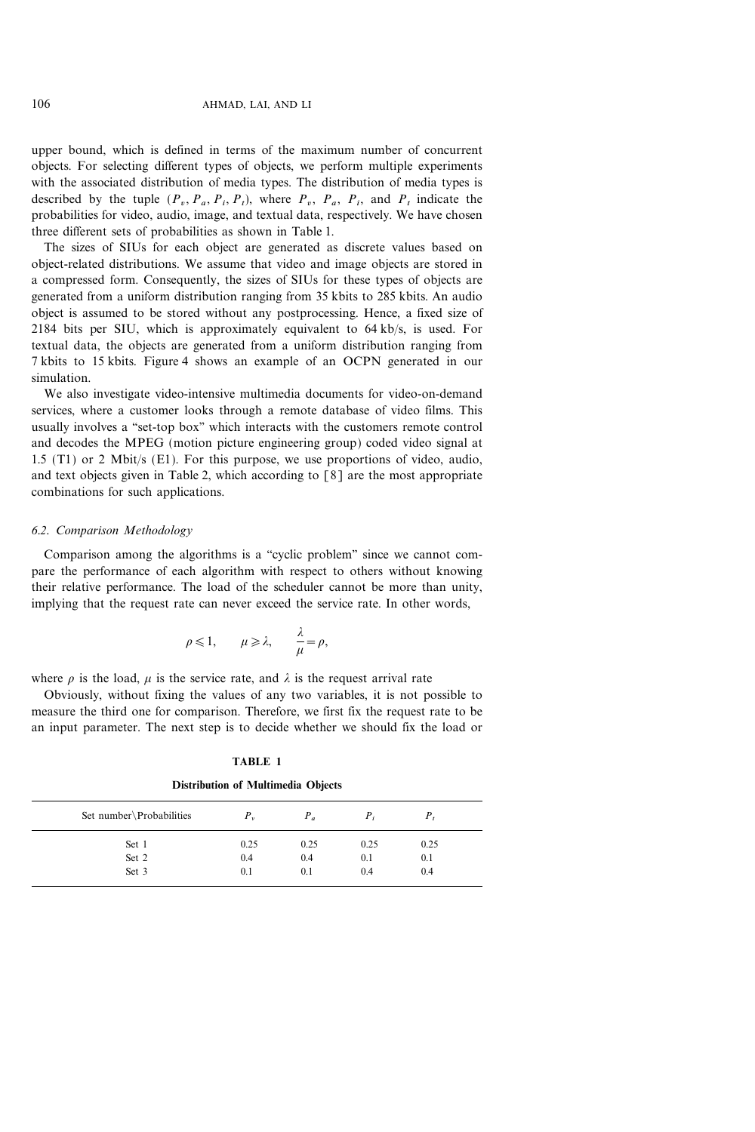upper bound, which is defined in terms of the maximum number of concurrent objects. For selecting different types of objects, we perform multiple experiments with the associated distribution of media types. The distribution of media types is described by the tuple  $(P_v, P_a, P_i, P_t)$ , where  $P_v, P_a, P_t$ , and  $P_t$  indicate the probabilities for video, audio, image, and textual data, respectively. We have chosen three different sets of probabilities as shown in Table 1.

The sizes of SIUs for each object are generated as discrete values based on object-related distributions. We assume that video and image objects are stored in a compressed form. Consequently, the sizes of SIUs for these types of objects are generated from a uniform distribution ranging from 35 kbits to 285 kbits. An audio object is assumed to be stored without any postprocessing. Hence, a fixed size of 2184 bits per SIU, which is approximately equivalent to  $64 \text{ kb/s}$ , is used. For textual data, the objects are generated from a uniform distribution ranging from 7 kbits to 15 kbits. Figure 4 shows an example of an OCPN generated in our simulation.

We also investigate video-intensive multimedia documents for video-on-demand services, where a customer looks through a remote database of video films. This usually involves a "set-top box" which interacts with the customers remote control and decodes the MPEG (motion picture engineering group) coded video signal at 1.5 (T1) or 2 Mbit/s (E1). For this purpose, we use proportions of video, audio, and text objects given in Table 2, which according to [8] are the most appropriate combinations for such applications.

#### 6.2. Comparison Methodology

Comparison among the algorithms is a "cyclic problem" since we cannot compare the performance of each algorithm with respect to others without knowing their relative performance. The load of the scheduler cannot be more than unity, implying that the request rate can never exceed the service rate. In other words,

$$
\rho \leq 1, \qquad \mu \geq \lambda, \qquad \frac{\lambda}{\mu} = \rho,
$$

where  $\rho$  is the load,  $\mu$  is the service rate, and  $\lambda$  is the request arrival rate

Obviously, without fixing the values of any two variables, it is not possible to measure the third one for comparison. Therefore, we first fix the request rate to be an input parameter. The next step is to decide whether we should fix the load or

|  | TABLE |  |  |  |
|--|-------|--|--|--|
|--|-------|--|--|--|

| <b>Distribution of Multimedia Objects</b> |  |  |
|-------------------------------------------|--|--|
|-------------------------------------------|--|--|

| Set number \Probabilities | $P_{v}$ | $P_a$ |      |      |
|---------------------------|---------|-------|------|------|
| Set 1                     | 0.25    | 0.25  | 0.25 | 0.25 |
| Set 2                     | 0.4     | 0.4   | 0.1  | 0.1  |
| Set 3                     | 0.1     | 0.1   | 0.4  | 0.4  |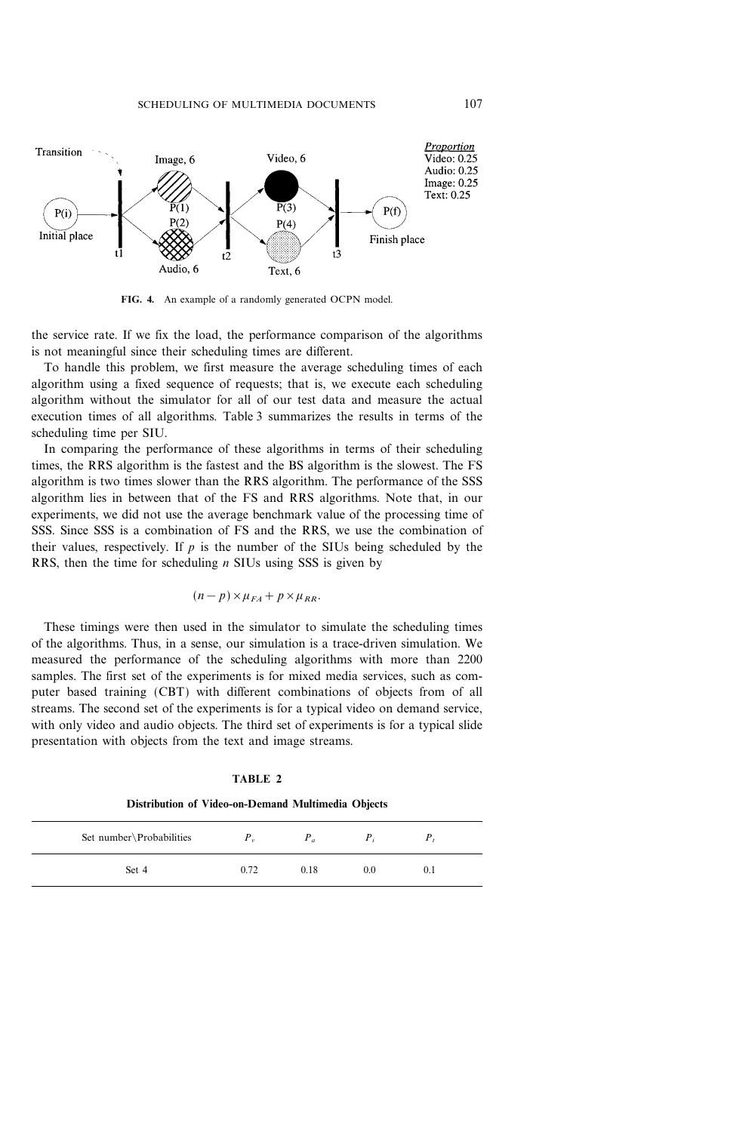

FIG. 4. An example of a randomly generated OCPN model.

the service rate. If we fix the load, the performance comparison of the algorithms is not meaningful since their scheduling times are different.

To handle this problem, we first measure the average scheduling times of each algorithm using a fixed sequence of requests; that is, we execute each scheduling algorithm without the simulator for all of our test data and measure the actual execution times of all algorithms. Table 3 summarizes the results in terms of the scheduling time per SIU.

In comparing the performance of these algorithms in terms of their scheduling times, the RRS algorithm is the fastest and the BS algorithm is the slowest. The FS algorithm is two times slower than the RRS algorithm. The performance of the SSS algorithm lies in between that of the FS and RRS algorithms. Note that, in our experiments, we did not use the average benchmark value of the processing time of SSS. Since SSS is a combination of FS and the RRS, we use the combination of their values, respectively. If  $p$  is the number of the SIUs being scheduled by the RRS, then the time for scheduling  $n$  SIUs using SSS is given by

$$
(n-p)\times \mu_{FA} + p\times \mu_{RR}.
$$

These timings were then used in the simulator to simulate the scheduling times of the algorithms. Thus, in a sense, our simulation is a trace-driven simulation. We measured the performance of the scheduling algorithms with more than 2200 samples. The first set of the experiments is for mixed media services, such as computer based training (CBT) with different combinations of objects from of all streams. The second set of the experiments is for a typical video on demand service, with only video and audio objects. The third set of experiments is for a typical slide presentation with objects from the text and image streams.

#### TABLE 2

Distribution of Video-on-Demand Multimedia Objects

| Set number \Probabilities | $\mathbf{u}$ | $\boldsymbol{a}$ |     |  |
|---------------------------|--------------|------------------|-----|--|
| Set 4                     | 0.72         | 0.18             | 0.0 |  |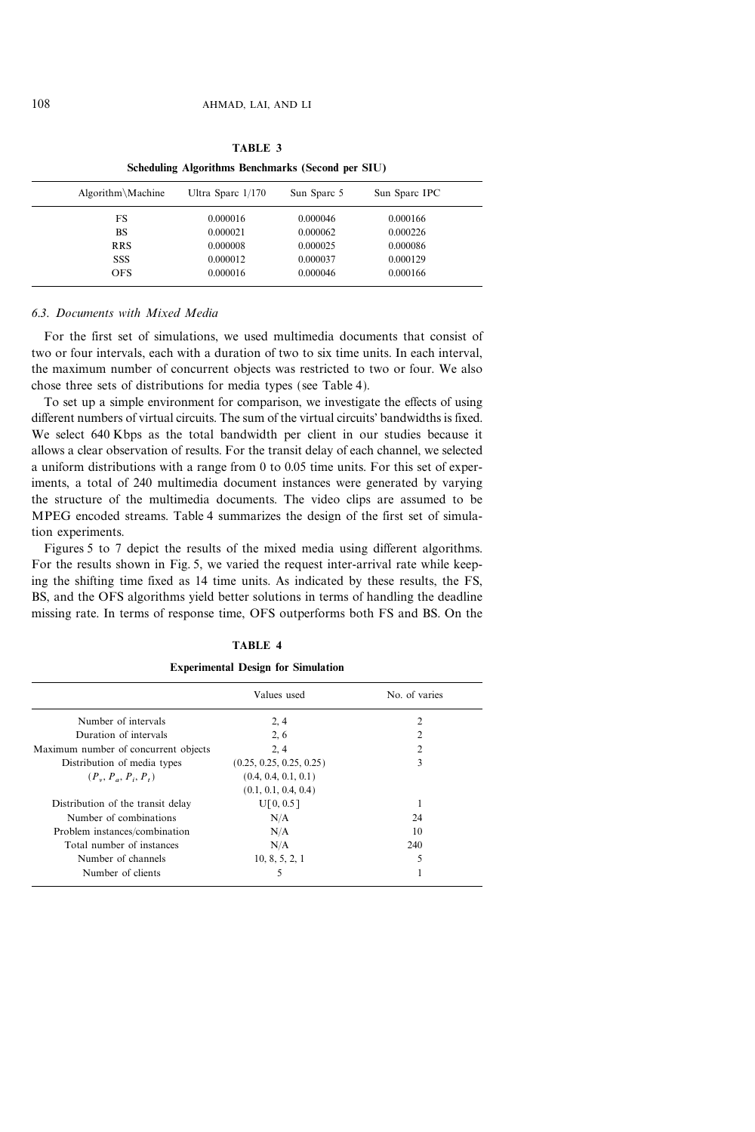| Algorithm\Machine | Ultra Sparc $1/170$ | Sun Sparc 5 | Sun Sparc IPC |
|-------------------|---------------------|-------------|---------------|
| FS                | 0.000016            | 0.000046    | 0.000166      |
| BS                | 0.000021            | 0.000062    | 0.000226      |
| <b>RRS</b>        | 0.000008            | 0.000025    | 0.000086      |
| <b>SSS</b>        | 0.000012            | 0.000037    | 0.000129      |
| <b>OFS</b>        | 0.000016            | 0.000046    | 0.000166      |

TABLE 3

## Scheduling Algorithms Benchmarks (Second per SIU)

#### 6.3. Documents with Mixed Media

For the first set of simulations, we used multimedia documents that consist of two or four intervals, each with a duration of two to six time units. In each interval, the maximum number of concurrent objects was restricted to two or four. We also chose three sets of distributions for media types (see Table 4).

To set up a simple environment for comparison, we investigate the effects of using different numbers of virtual circuits. The sum of the virtual circuits' bandwidths is fixed. We select 640 Kbps as the total bandwidth per client in our studies because it allows a clear observation of results. For the transit delay of each channel, we selected a uniform distributions with a range from 0 to 0.05 time units. For this set of experiments, a total of 240 multimedia document instances were generated by varying the structure of the multimedia documents. The video clips are assumed to be MPEG encoded streams. Table 4 summarizes the design of the first set of simulation experiments.

Figures 5 to 7 depict the results of the mixed media using different algorithms. For the results shown in Fig. 5, we varied the request inter-arrival rate while keeping the shifting time fixed as 14 time units. As indicated by these results, the FS, BS, and the OFS algorithms yield better solutions in terms of handling the deadline missing rate. In terms of response time, OFS outperforms both FS and BS. On the

| <b>Experimental Design for Simulation</b> |                          |                |  |
|-------------------------------------------|--------------------------|----------------|--|
|                                           | Values used              | No. of varies  |  |
| Number of intervals                       | 2, 4                     |                |  |
| Duration of intervals                     | 2, 6                     | $\mathfrak{D}$ |  |
| Maximum number of concurrent objects      | 2, 4                     | 2              |  |
| Distribution of media types               | (0.25, 0.25, 0.25, 0.25) | 3              |  |
| $(P_{\nu}, P_{\alpha}, P_{i}, P_{t})$     | (0.4, 0.4, 0.1, 0.1)     |                |  |
|                                           | (0.1, 0.1, 0.4, 0.4)     |                |  |
| Distribution of the transit delay         | U[0, 0.5]                | 1              |  |
| Number of combinations                    | N/A                      | 24             |  |
| Problem instances/combination             | N/A                      | 10             |  |
| Total number of instances                 | N/A                      | 240            |  |
| Number of channels                        | 10, 8, 5, 2, 1           | 5              |  |
| Number of clients                         |                          |                |  |

#### TABLE 4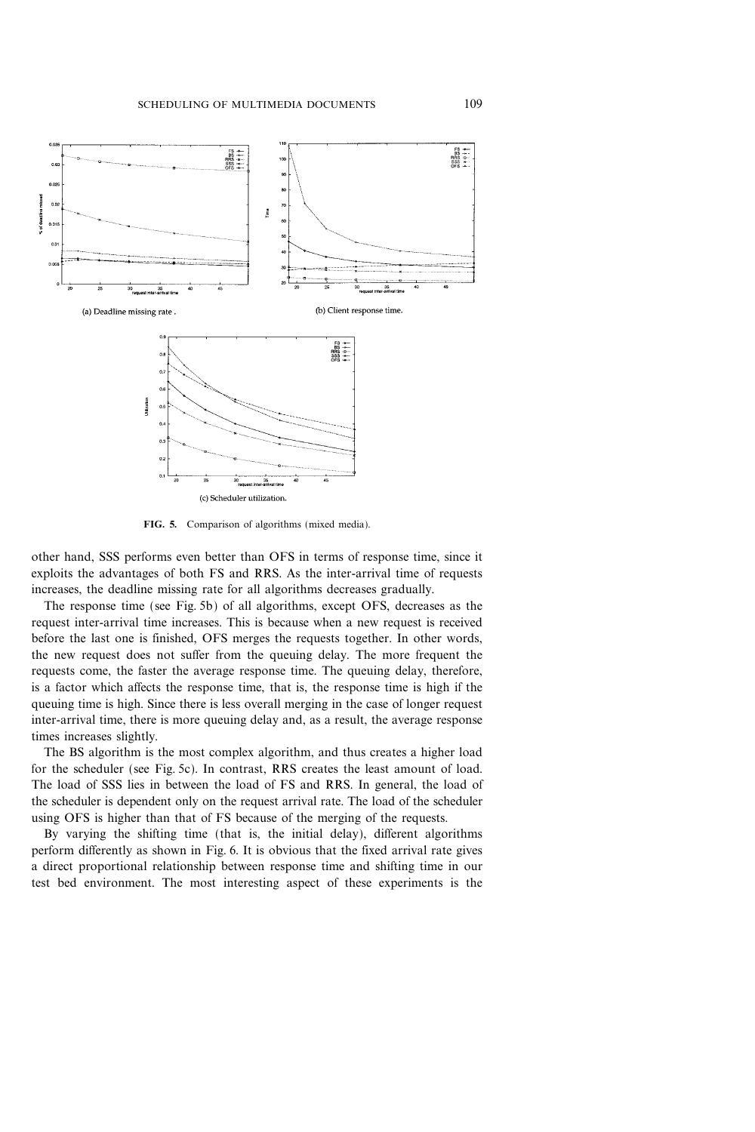

'n.  $0.2$  $0.2$  $0.1$ (c) Scheduler utilization.

FIG. 5. Comparison of algorithms (mixed media).

other hand, SSS performs even better than OFS in terms of response time, since it exploits the advantages of both FS and RRS. As the inter-arrival time of requests increases, the deadline missing rate for all algorithms decreases gradually.

The response time (see Fig. 5b) of all algorithms, except OFS, decreases as the request inter-arrival time increases. This is because when a new request is received before the last one is finished, OFS merges the requests together. In other words, the new request does not suffer from the queuing delay. The more frequent the requests come, the faster the average response time. The queuing delay, therefore, is a factor which affects the response time, that is, the response time is high if the queuing time is high. Since there is less overall merging in the case of longer request inter-arrival time, there is more queuing delay and, as a result, the average response times increases slightly.

The BS algorithm is the most complex algorithm, and thus creates a higher load for the scheduler (see Fig. 5c). In contrast, RRS creates the least amount of load. The load of SSS lies in between the load of FS and RRS. In general, the load of the scheduler is dependent only on the request arrival rate. The load of the scheduler using OFS is higher than that of FS because of the merging of the requests.

By varying the shifting time (that is, the initial delay), different algorithms perform differently as shown in Fig. 6. It is obvious that the fixed arrival rate gives a direct proportional relationship between response time and shifting time in our test bed environment. The most interesting aspect of these experiments is the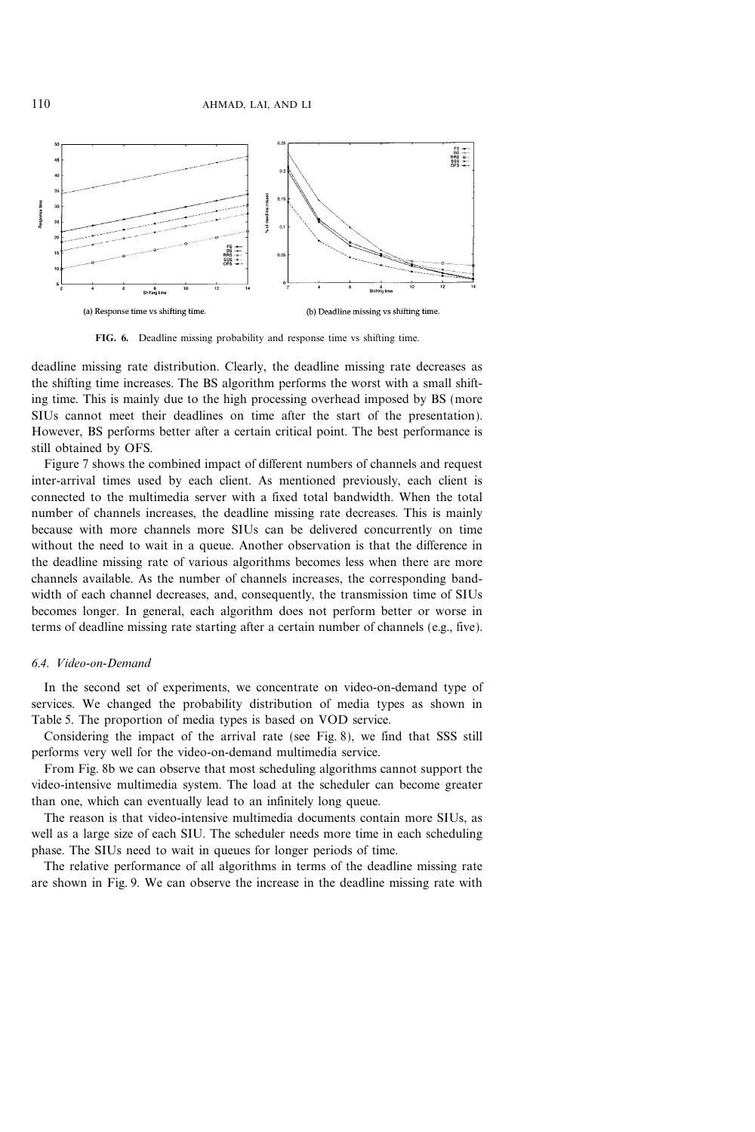

FIG. 6. Deadline missing probability and response time vs shifting time.

deadline missing rate distribution. Clearly, the deadline missing rate decreases as the shifting time increases. The BS algorithm performs the worst with a small shifting time. This is mainly due to the high processing overhead imposed by BS (more SIUs cannot meet their deadlines on time after the start of the presentation). However, BS performs better after a certain critical point. The best performance is still obtained by OFS.

Figure 7 shows the combined impact of different numbers of channels and request inter-arrival times used by each client. As mentioned previously, each client is connected to the multimedia server with a fixed total bandwidth. When the total number of channels increases, the deadline missing rate decreases. This is mainly because with more channels more SIUs can be delivered concurrently on time without the need to wait in a queue. Another observation is that the difference in the deadline missing rate of various algorithms becomes less when there are more channels available. As the number of channels increases, the corresponding bandwidth of each channel decreases, and, consequently, the transmission time of SIUs becomes longer. In general, each algorithm does not perform better or worse in terms of deadline missing rate starting after a certain number of channels (e.g., five).

#### 6.4. Video-on-Demand

In the second set of experiments, we concentrate on video-on-demand type of services. We changed the probability distribution of media types as shown in Table 5. The proportion of media types is based on VOD service.

Considering the impact of the arrival rate (see Fig. 8), we find that SSS still performs very well for the video-on-demand multimedia service.

From Fig. 8b we can observe that most scheduling algorithms cannot support the video-intensive multimedia system. The load at the scheduler can become greater than one, which can eventually lead to an infinitely long queue.

The reason is that video-intensive multimedia documents contain more SIUs, as well as a large size of each SIU. The scheduler needs more time in each scheduling phase. The SIUs need to wait in queues for longer periods of time.

The relative performance of all algorithms in terms of the deadline missing rate are shown in Fig. 9. We can observe the increase in the deadline missing rate with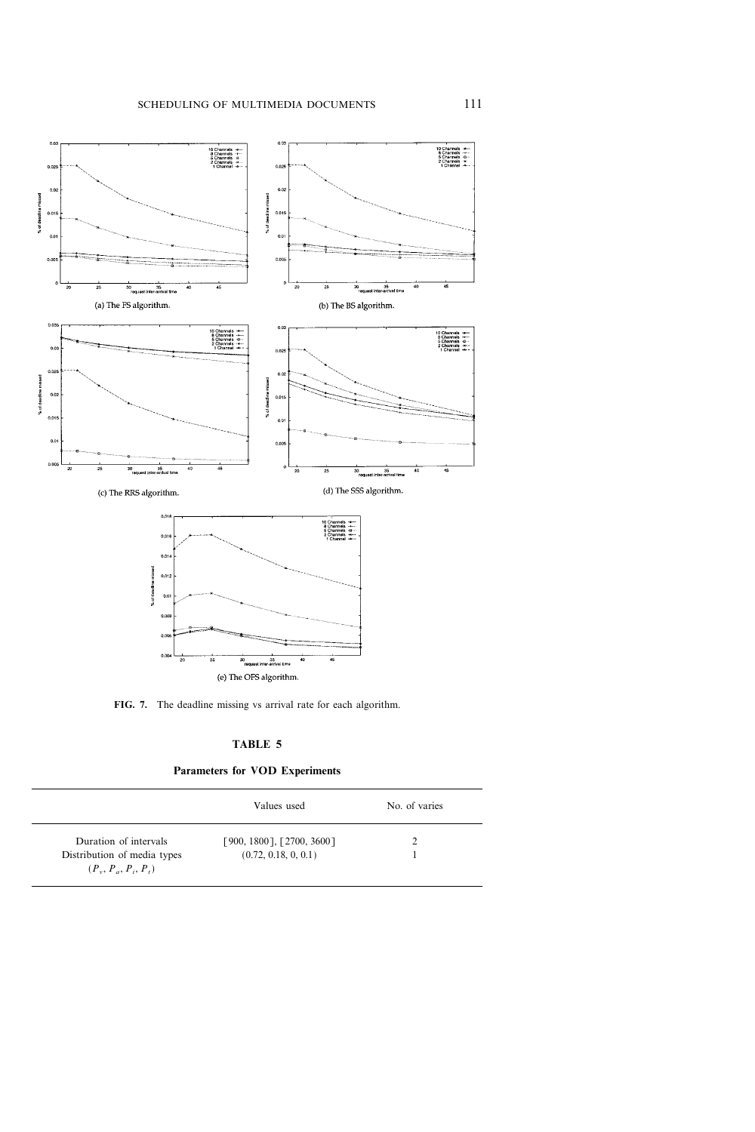

FIG. 7. The deadline missing vs arrival rate for each algorithm.

## TABLE 5

#### Parameters for VOD Experiments

|                                                       | Values used                    | No. of varies |
|-------------------------------------------------------|--------------------------------|---------------|
| Duration of intervals                                 | $[900, 1800]$ , $[2700, 3600]$ |               |
| Distribution of media types<br>$(P_v, P_a, P_i, P_t)$ | (0.72, 0.18, 0, 0.1)           |               |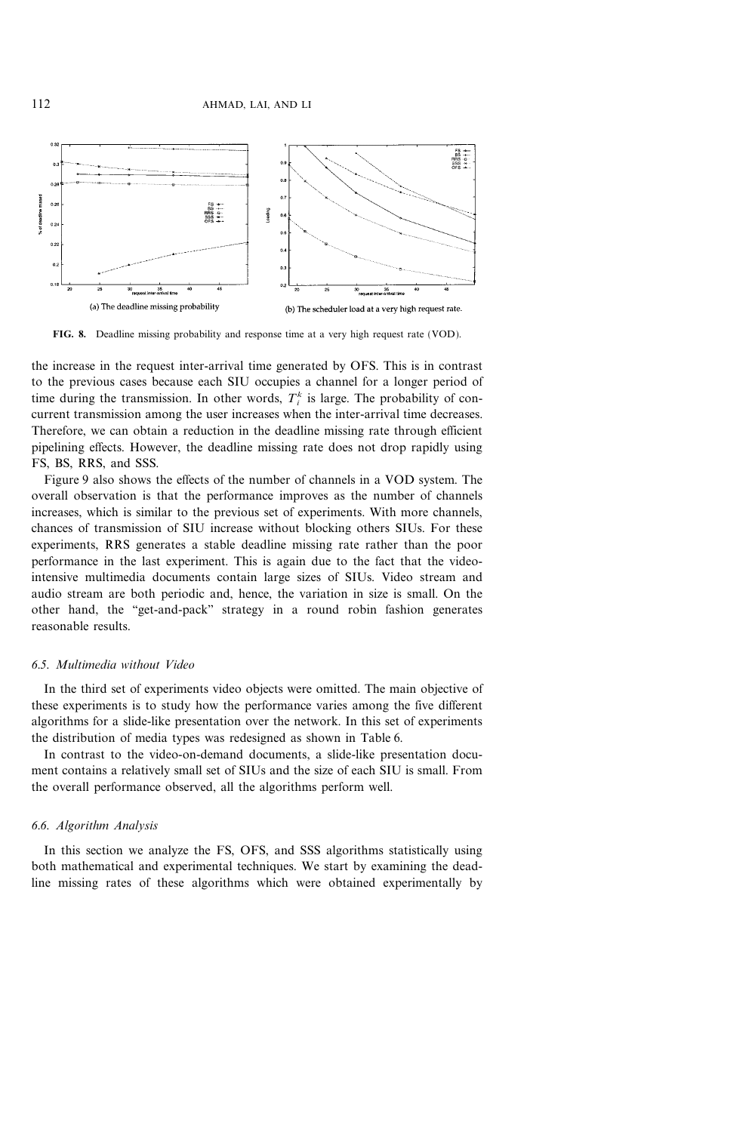

FIG. 8. Deadline missing probability and response time at a very high request rate (VOD).

the increase in the request inter-arrival time generated by OFS. This is in contrast to the previous cases because each SIU occupies a channel for a longer period of time during the transmission. In other words,  $T_i^k$  is large. The probability of concurrent transmission among the user increases when the inter-arrival time decreases. Therefore, we can obtain a reduction in the deadline missing rate through efficient pipelining effects. However, the deadline missing rate does not drop rapidly using FS, BS, RRS, and SSS.

Figure 9 also shows the effects of the number of channels in a VOD system. The overall observation is that the performance improves as the number of channels increases, which is similar to the previous set of experiments. With more channels, chances of transmission of SIU increase without blocking others SIUs. For these experiments, RRS generates a stable deadline missing rate rather than the poor performance in the last experiment. This is again due to the fact that the videointensive multimedia documents contain large sizes of SIUs. Video stream and audio stream are both periodic and, hence, the variation in size is small. On the other hand, the "get-and-pack" strategy in a round robin fashion generates reasonable results.

## 6.5. Multimedia without Video

In the third set of experiments video objects were omitted. The main objective of these experiments is to study how the performance varies among the five different algorithms for a slide-like presentation over the network. In this set of experiments the distribution of media types was redesigned as shown in Table 6.

In contrast to the video-on-demand documents, a slide-like presentation document contains a relatively small set of SIUs and the size of each SIU is small. From the overall performance observed, all the algorithms perform well.

## 6.6. Algorithm Analysis

In this section we analyze the FS, OFS, and SSS algorithms statistically using both mathematical and experimental techniques. We start by examining the deadline missing rates of these algorithms which were obtained experimentally by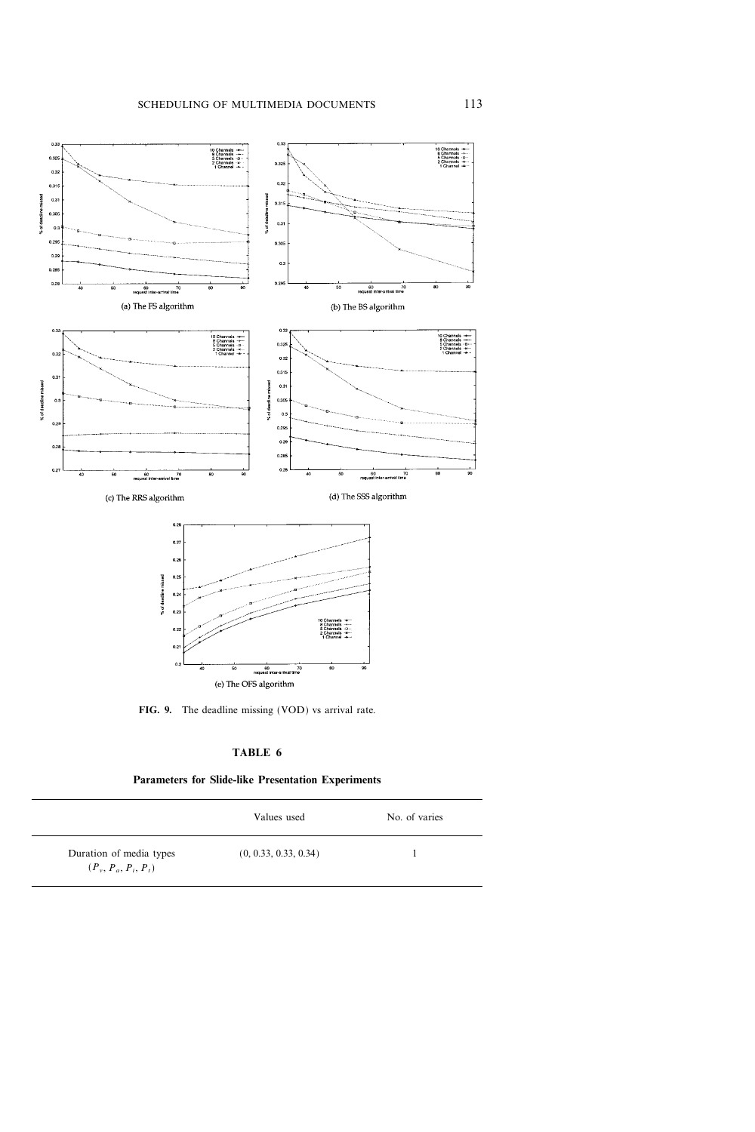

FIG. 9. The deadline missing (VOD) vs arrival rate.

## TABLE 6

## Parameters for Slide-like Presentation Experiments

|                                                   | Values used           | No. of varies |
|---------------------------------------------------|-----------------------|---------------|
| Duration of media types<br>$(P_v, P_a, P_i, P_t)$ | (0, 0.33, 0.33, 0.34) |               |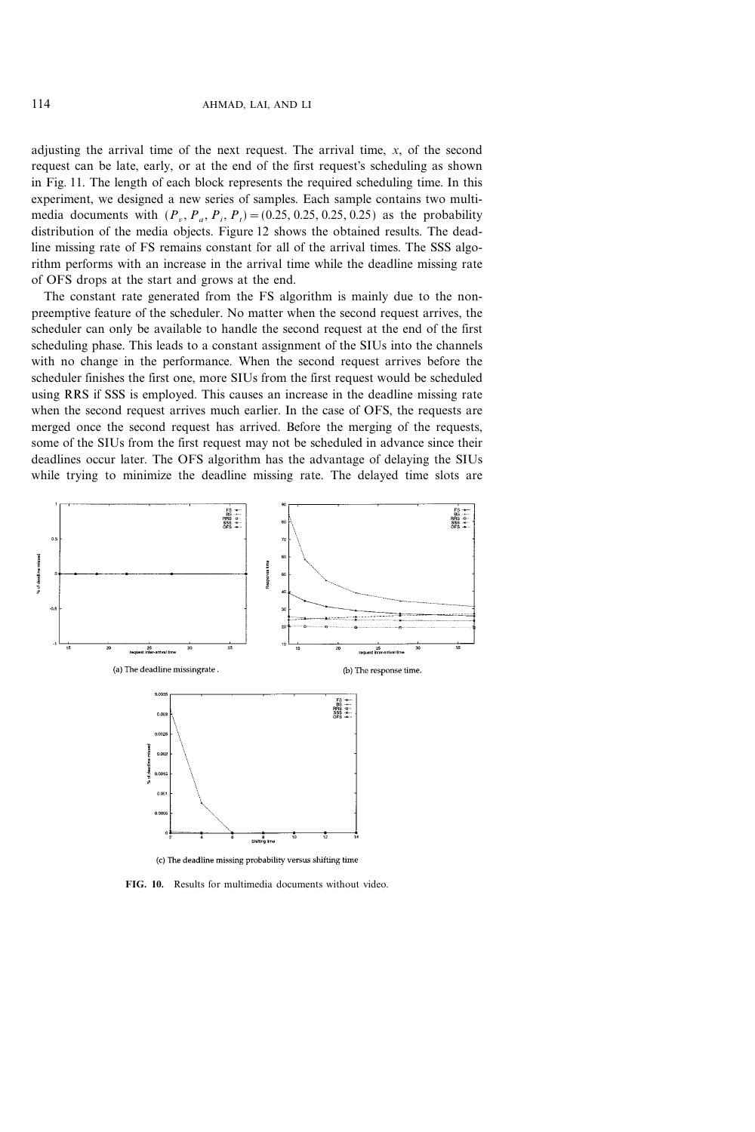adjusting the arrival time of the next request. The arrival time,  $x$ , of the second request can be late, early, or at the end of the first request's scheduling as shown in Fig. 11. The length of each block represents the required scheduling time. In this experiment, we designed a new series of samples. Each sample contains two multimedia documents with  $(P_v, P_a, P_t, P_t) = (0.25, 0.25, 0.25, 0.25)$  as the probability distribution of the media objects. Figure 12 shows the obtained results. The deadline missing rate of FS remains constant for all of the arrival times. The SSS algorithm performs with an increase in the arrival time while the deadline missing rate of OFS drops at the start and grows at the end.

The constant rate generated from the FS algorithm is mainly due to the nonpreemptive feature of the scheduler. No matter when the second request arrives, the scheduler can only be available to handle the second request at the end of the first scheduling phase. This leads to a constant assignment of the SIUs into the channels with no change in the performance. When the second request arrives before the scheduler finishes the first one, more SIUs from the first request would be scheduled using RRS if SSS is employed. This causes an increase in the deadline missing rate when the second request arrives much earlier. In the case of OFS, the requests are merged once the second request has arrived. Before the merging of the requests, some of the SIUs from the first request may not be scheduled in advance since their deadlines occur later. The OFS algorithm has the advantage of delaying the SIUs while trying to minimize the deadline missing rate. The delayed time slots are



FIG. 10. Results for multimedia documents without video.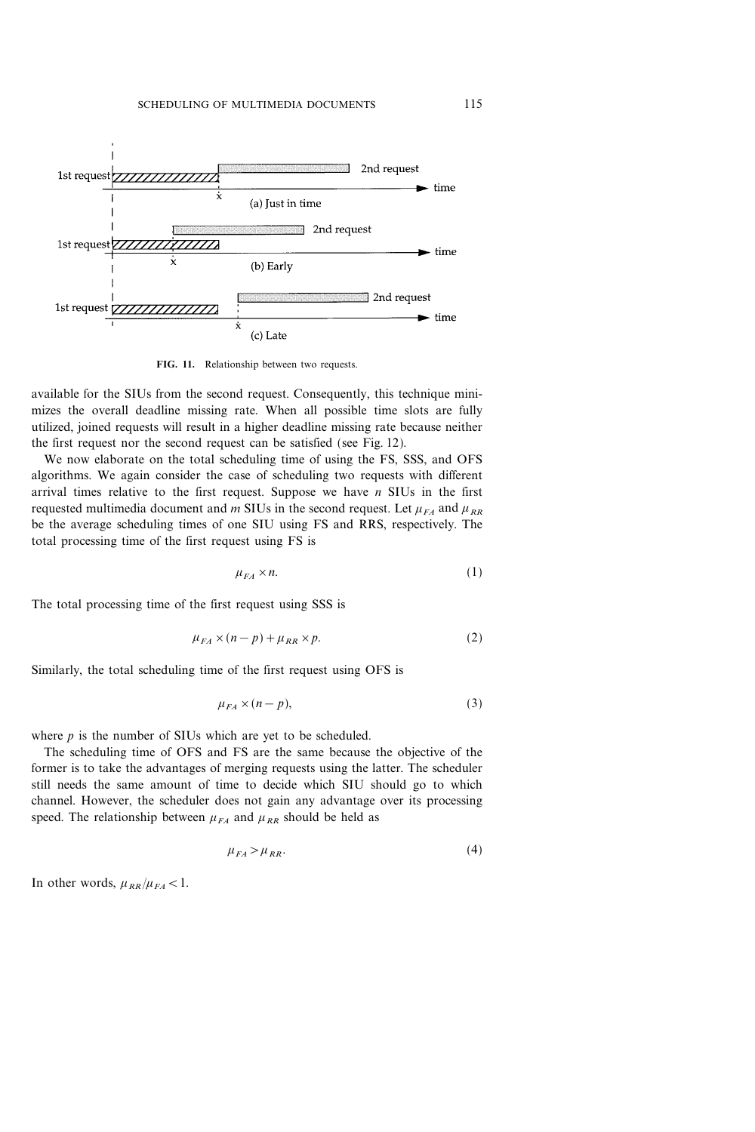

FIG. 11. Relationship between two requests.

available for the SIUs from the second request. Consequently, this technique minimizes the overall deadline missing rate. When all possible time slots are fully utilized, joined requests will result in a higher deadline missing rate because neither the first request nor the second request can be satisfied (see Fig. 12).

We now elaborate on the total scheduling time of using the FS, SSS, and OFS algorithms. We again consider the case of scheduling two requests with different arrival times relative to the first request. Suppose we have  $n$  SIUs in the first requested multimedia document and m SIUs in the second request. Let  $\mu_{FA}$  and  $\mu_{RR}$ be the average scheduling times of one SIU using FS and RRS, respectively. The total processing time of the first request using FS is

$$
\mu_{FA} \times n. \tag{1}
$$

The total processing time of the first request using SSS is

$$
\mu_{FA} \times (n-p) + \mu_{RR} \times p. \tag{2}
$$

Similarly, the total scheduling time of the first request using OFS is

$$
\mu_{FA} \times (n-p),\tag{3}
$$

where  $p$  is the number of SIUs which are yet to be scheduled.

The scheduling time of OFS and FS are the same because the objective of the former is to take the advantages of merging requests using the latter. The scheduler still needs the same amount of time to decide which SIU should go to which channel. However, the scheduler does not gain any advantage over its processing speed. The relationship between  $\mu_{FA}$  and  $\mu_{RR}$  should be held as

$$
\mu_{FA} > \mu_{RR}.\tag{4}
$$

In other words,  $\mu_{RR}/\mu_{FA} < 1$ .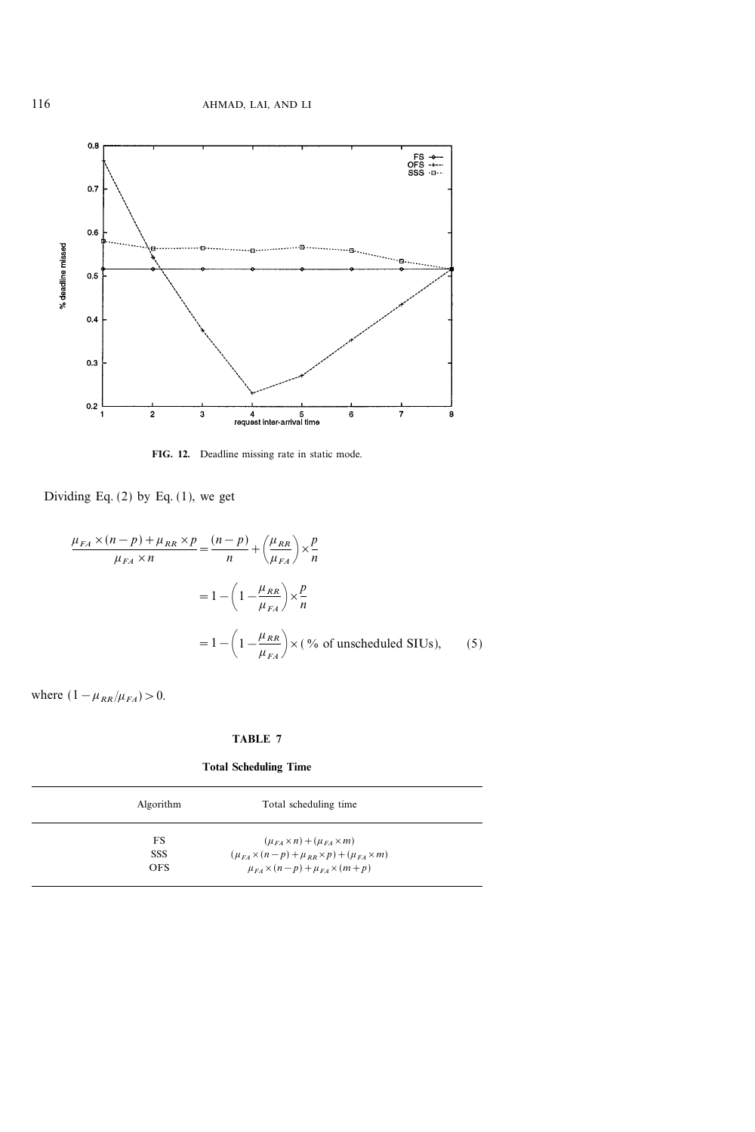

FIG. 12. Deadline missing rate in static mode.

Dividing Eq.  $(2)$  by Eq.  $(1)$ , we get

$$
\frac{\mu_{FA} \times (n-p) + \mu_{RR} \times p}{\mu_{FA} \times n} = \frac{(n-p)}{n} + \left(\frac{\mu_{RR}}{\mu_{FA}}\right) \times \frac{p}{n}
$$

$$
= 1 - \left(1 - \frac{\mu_{RR}}{\mu_{FA}}\right) \times \frac{p}{n}
$$

$$
= 1 - \left(1 - \frac{\mu_{RR}}{\mu_{FA}}\right) \times \left(\frac{p}{n}\right) \text{ or unscheduled SIUs}, \qquad (5)
$$

where  $(1-\mu_{RR}/\mu_{FA})>0$ .

## TABLE 7

# Total Scheduling Time

| Algorithm                      | Total scheduling time                                                                                                                                                 |
|--------------------------------|-----------------------------------------------------------------------------------------------------------------------------------------------------------------------|
| FS<br><b>SSS</b><br><b>OFS</b> | $(\mu_{FA} \times n) + (\mu_{FA} \times m)$<br>$(\mu_{FA} \times (n-p) + \mu_{RR} \times p) + (\mu_{FA} \times m)$<br>$\mu_{FA} \times (n-p) + \mu_{FA} \times (m+p)$ |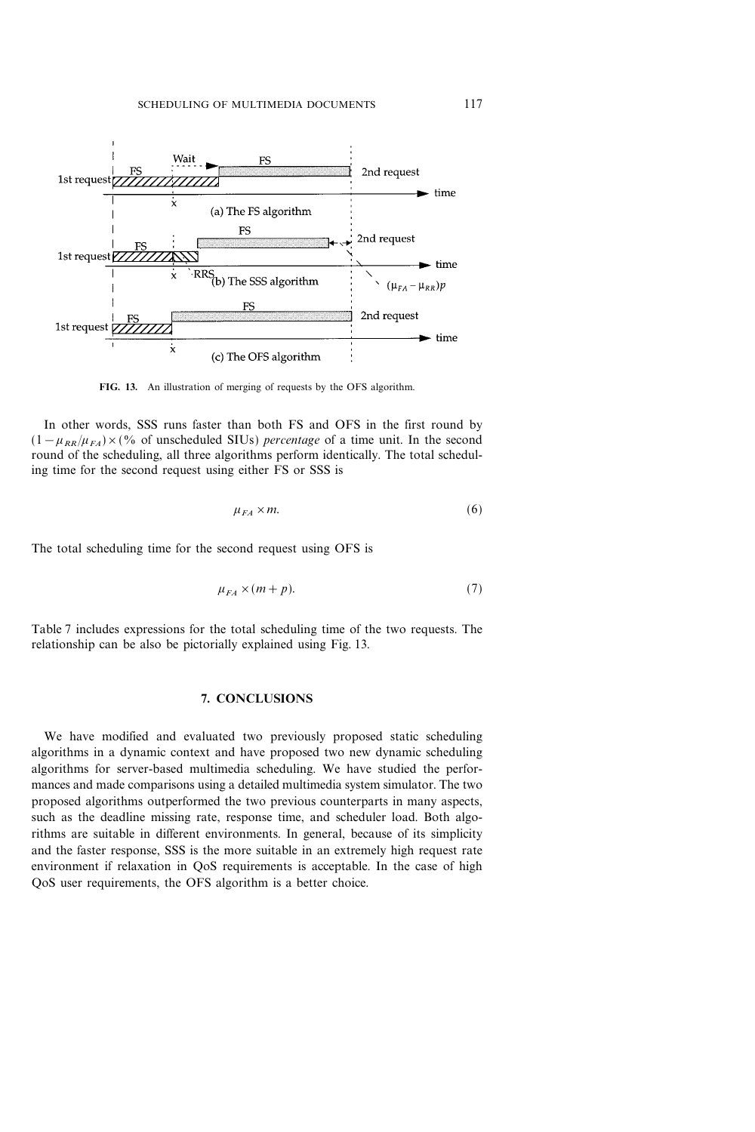

FIG. 13. An illustration of merging of requests by the OFS algorithm.

In other words, SSS runs faster than both FS and OFS in the first round by  $(1-\mu_{RR}/\mu_{FA})\times($ % of unscheduled SIUs) *percentage* of a time unit. In the second round of the scheduling, all three algorithms perform identically. The total scheduling time for the second request using either FS or SSS is

$$
\mu_{FA} \times m. \tag{6}
$$

The total scheduling time for the second request using OFS is

$$
\mu_{FA} \times (m+p). \tag{7}
$$

Table 7 includes expressions for the total scheduling time of the two requests. The relationship can be also be pictorially explained using Fig. 13.

#### 7. CONCLUSIONS

We have modified and evaluated two previously proposed static scheduling algorithms in a dynamic context and have proposed two new dynamic scheduling algorithms for server-based multimedia scheduling. We have studied the performances and made comparisons using a detailed multimedia system simulator. The two proposed algorithms outperformed the two previous counterparts in many aspects, such as the deadline missing rate, response time, and scheduler load. Both algorithms are suitable in different environments. In general, because of its simplicity and the faster response, SSS is the more suitable in an extremely high request rate environment if relaxation in QoS requirements is acceptable. In the case of high QoS user requirements, the OFS algorithm is a better choice.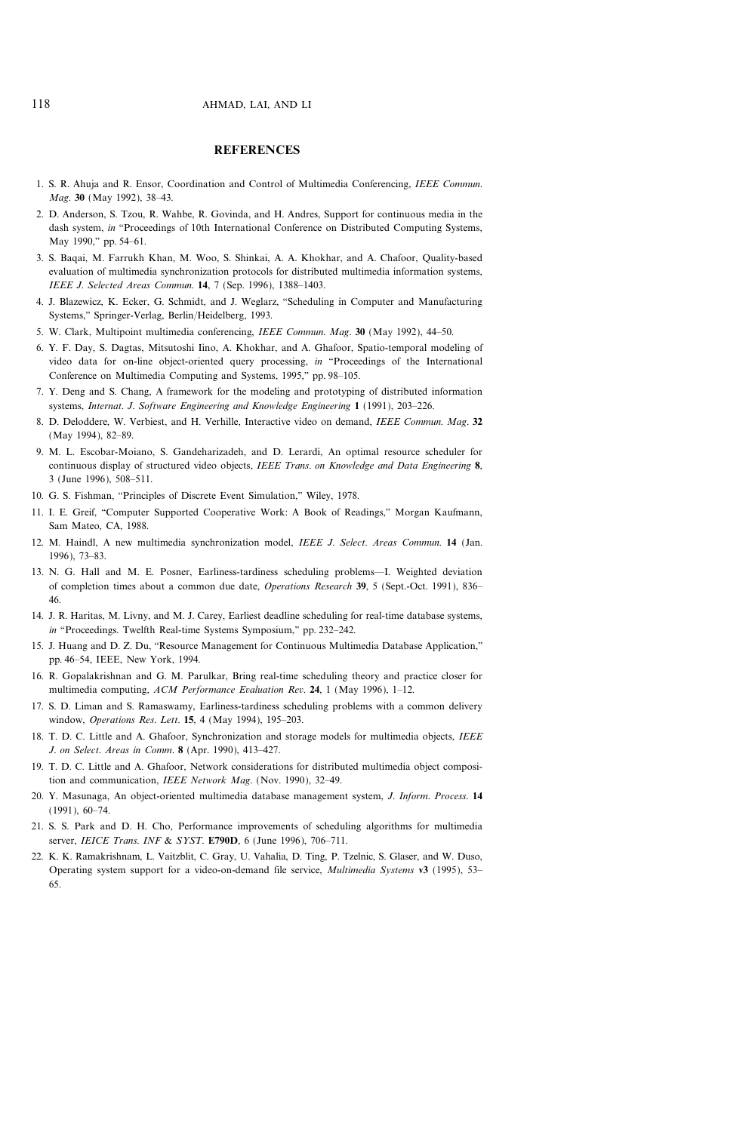#### **REFERENCES**

- 1. S. R. Ahuja and R. Ensor, Coordination and Control of Multimedia Conferencing, IEEE Commun. Mag. 30 (May 1992), 38-43.
- 2. D. Anderson, S. Tzou, R. Wahbe, R. Govinda, and H. Andres, Support for continuous media in the dash system, in "Proceedings of 10th International Conference on Distributed Computing Systems, May 1990," pp. 54-61.
- 3. S. Baqai, M. Farrukh Khan, M. Woo, S. Shinkai, A. A. Khokhar, and A. Chafoor, Quality-based evaluation of multimedia synchronization protocols for distributed multimedia information systems, IEEE J. Selected Areas Commun. 14, 7 (Sep. 1996), 1388-1403.
- 4. J. Blazewicz, K. Ecker, G. Schmidt, and J. Weglarz, "Scheduling in Computer and Manufacturing Systems," Springer-Verlag, Berlin/Heidelberg, 1993.
- 5. W. Clark, Multipoint multimedia conferencing, IEEE Commun. Mag. 30 (May 1992), 4450.
- 6. Y. F. Day, S. Dagtas, Mitsutoshi Iino, A. Khokhar, and A. Ghafoor, Spatio-temporal modeling of video data for on-line object-oriented query processing, in "Proceedings of the International Conference on Multimedia Computing and Systems, 1995," pp. 98-105.
- 7. Y. Deng and S. Chang, A framework for the modeling and prototyping of distributed information systems, Internat. J. Software Engineering and Knowledge Engineering 1 (1991), 203-226.
- 8. D. Deloddere, W. Verbiest, and H. Verhille, Interactive video on demand, IEEE Commun. Mag. 32 (May 1994), 82-89.
- 9. M. L. Escobar-Moiano, S. Gandeharizadeh, and D. Lerardi, An optimal resource scheduler for continuous display of structured video objects, IEEE Trans. on Knowledge and Data Engineering 8, 3 (June 1996), 508-511.
- 10. G. S. Fishman, "Principles of Discrete Event Simulation," Wiley, 1978.
- 11. I. E. Greif, "Computer Supported Cooperative Work: A Book of Readings," Morgan Kaufmann, Sam Mateo, CA, 1988.
- 12. M. Haindl, A new multimedia synchronization model, IEEE J. Select. Areas Commun. 14 (Jan. 1996), 73-83.
- 13. N. G. Hall and M. E. Posner, Earliness-tardiness scheduling problems—I. Weighted deviation of completion times about a common due date, Operations Research 39, 5 (Sept.-Oct. 1991), 836– 46.
- 14. J. R. Haritas, M. Livny, and M. J. Carey, Earliest deadline scheduling for real-time database systems, in "Proceedings. Twelfth Real-time Systems Symposium," pp. 232-242.
- 15. J. Huang and D. Z. Du, ``Resource Management for Continuous Multimedia Database Application,'' pp. 46-54, IEEE, New York, 1994.
- 16. R. Gopalakrishnan and G. M. Parulkar, Bring real-time scheduling theory and practice closer for multimedia computing, ACM Performance Evaluation Rev. 24, 1 (May 1996), 1-12.
- 17. S. D. Liman and S. Ramaswamy, Earliness-tardiness scheduling problems with a common delivery window, Operations Res. Lett. 15, 4 (May 1994), 195-203.
- 18. T. D. C. Little and A. Ghafoor, Synchronization and storage models for multimedia objects, IEEE J. on Select. Areas in Comm. 8 (Apr. 1990), 413-427.
- 19. T. D. C. Little and A. Ghafoor, Network considerations for distributed multimedia object composition and communication, IEEE Network Mag. (Nov. 1990), 32-49.
- 20. Y. Masunaga, An object-oriented multimedia database management system, J. Inform. Process. 14  $(1991), 60-74.$
- 21. S. S. Park and D. H. Cho, Performance improvements of scheduling algorithms for multimedia server, IEICE Trans. INF & SYST. E790D, 6 (June 1996), 706-711.
- 22. K. K. Ramakrishnam, L. Vaitzblit, C. Gray, U. Vahalia, D. Ting, P. Tzelnic, S. Glaser, and W. Duso, Operating system support for a video-on-demand file service, *Multimedia Systems* v3 (1995), 53– 65.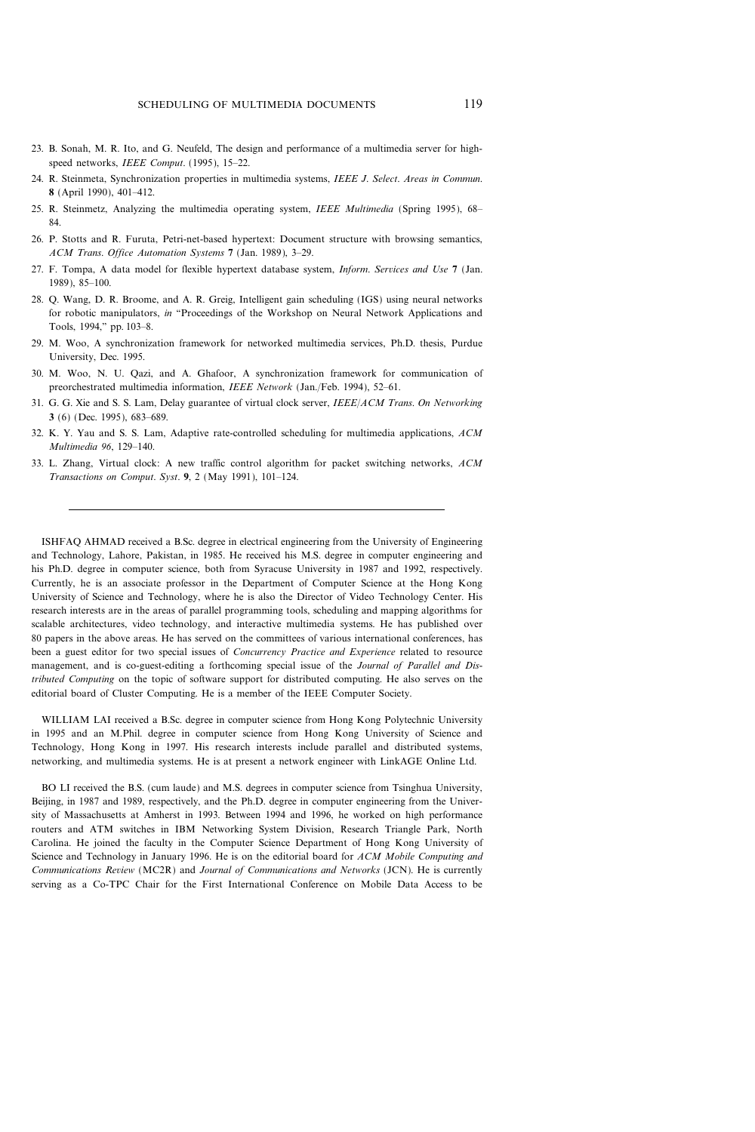- 23. B. Sonah, M. R. Ito, and G. Neufeld, The design and performance of a multimedia server for highspeed networks, IEEE Comput. (1995), 15-22.
- 24. R. Steinmeta, Synchronization properties in multimedia systems, IEEE J. Select. Areas in Commun. 8 (April 1990), 401-412.
- 25. R. Steinmetz, Analyzing the multimedia operating system, IEEE Multimedia (Spring 1995), 68-84.
- 26. P. Stotts and R. Furuta, Petri-net-based hypertext: Document structure with browsing semantics, ACM Trans. Office Automation Systems 7 (Jan. 1989), 3-29.
- 27. F. Tompa, A data model for flexible hypertext database system, Inform. Services and Use 7 (Jan. 1989), 85-100.
- 28. Q. Wang, D. R. Broome, and A. R. Greig, Intelligent gain scheduling (IGS) using neural networks for robotic manipulators, in "Proceedings of the Workshop on Neural Network Applications and Tools, 1994," pp. 103-8.
- 29. M. Woo, A synchronization framework for networked multimedia services, Ph.D. thesis, Purdue University, Dec. 1995.
- 30. M. Woo, N. U. Qazi, and A. Ghafoor, A synchronization framework for communication of preorchestrated multimedia information, IEEE Network (Jan./Feb. 1994), 52–61.
- 31. G. G. Xie and S. S. Lam, Delay guarantee of virtual clock server, IEEE/ACM Trans. On Networking 3 (6) (Dec. 1995), 683-689.
- 32. K. Y. Yau and S. S. Lam, Adaptive rate-controlled scheduling for multimedia applications,  $ACM$ Multimedia 96, 129-140.
- 33. L. Zhang, Virtual clock: A new traffic control algorithm for packet switching networks, ACM Transactions on Comput. Syst.  $9$ , 2 (May 1991), 101-124.

ISHFAQ AHMAD received a B.Sc. degree in electrical engineering from the University of Engineering and Technology, Lahore, Pakistan, in 1985. He received his M.S. degree in computer engineering and his Ph.D. degree in computer science, both from Syracuse University in 1987 and 1992, respectively. Currently, he is an associate professor in the Department of Computer Science at the Hong Kong University of Science and Technology, where he is also the Director of Video Technology Center. His research interests are in the areas of parallel programming tools, scheduling and mapping algorithms for scalable architectures, video technology, and interactive multimedia systems. He has published over 80 papers in the above areas. He has served on the committees of various international conferences, has been a guest editor for two special issues of *Concurrency Practice and Experience* related to resource management, and is co-guest-editing a forthcoming special issue of the Journal of Parallel and Distributed Computing on the topic of software support for distributed computing. He also serves on the editorial board of Cluster Computing. He is a member of the IEEE Computer Society.

WILLIAM LAI received a B.Sc. degree in computer science from Hong Kong Polytechnic University in 1995 and an M.Phil. degree in computer science from Hong Kong University of Science and Technology, Hong Kong in 1997. His research interests include parallel and distributed systems, networking, and multimedia systems. He is at present a network engineer with LinkAGE Online Ltd.

BO LI received the B.S. (cum laude) and M.S. degrees in computer science from Tsinghua University, Beijing, in 1987 and 1989, respectively, and the Ph.D. degree in computer engineering from the University of Massachusetts at Amherst in 1993. Between 1994 and 1996, he worked on high performance routers and ATM switches in IBM Networking System Division, Research Triangle Park, North Carolina. He joined the faculty in the Computer Science Department of Hong Kong University of Science and Technology in January 1996. He is on the editorial board for ACM Mobile Computing and Communications Review (MC2R) and Journal of Communications and Networks (JCN). He is currently serving as a Co-TPC Chair for the First International Conference on Mobile Data Access to be